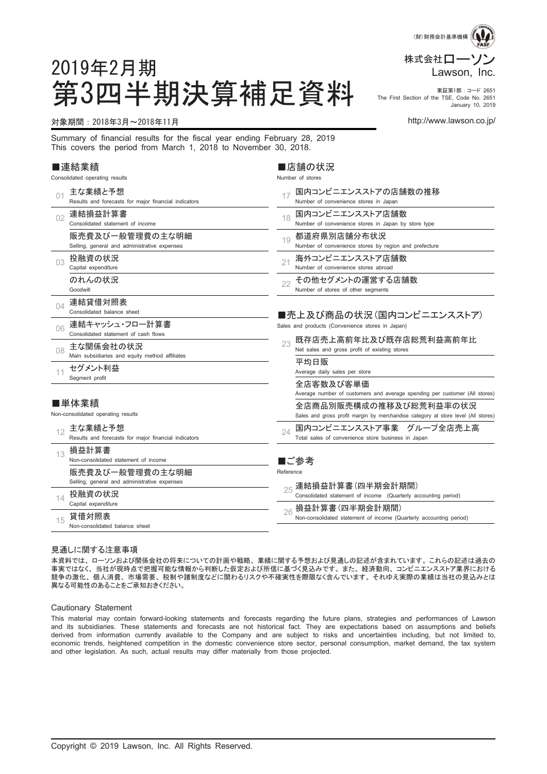

The First Section of the TSE, Code No. 2651 January 10, 2019

# 2019年2月期 第3四半期決算補足資料 Fire First Section of the TSE, Code No. 2651

#### 対象期間:2018年3月~2018年11月 http://www.lawson.co.jp/

Summary of financial results for the fiscal year ending February 28, 2019 This covers the period from March 1, 2018 to November 30, 2018.

#### ■連結業績

|    | Consolidated operating results                                  | Number of stores                                                                                                                                                                                       |
|----|-----------------------------------------------------------------|--------------------------------------------------------------------------------------------------------------------------------------------------------------------------------------------------------|
| 01 | 主な業績と予想<br>Results and forecasts for major financial indicators | 国内コンビニエンスストアの店舗数の推移<br>17<br>Number of convenience stores in Japan                                                                                                                                     |
| 02 | 連結損益計算書<br>Consolidated statement of income                     | 国内コンビニエンスストア店舗数<br>18<br>Number of convenience stores in Japan by store type                                                                                                                           |
|    | 販売費及び一般管理費の主な明細<br>Selling, general and administrative expenses | 都道府県別店舗分布状況<br>19<br>Number of convenience stores by region and prefecture                                                                                                                             |
| 03 | 投融資の状況<br>Capital expenditure                                   | 海外コンビニエンスストア店舗数<br>21<br>Number of convenience stores abroad                                                                                                                                           |
|    | のれんの状況<br>Goodwill                                              | その他セグメントの運営する店舗数<br>22<br>Number of stores of other segments                                                                                                                                           |
| NΔ | 連結貸借対照表<br>Consolidated balance sheet                           | ■売上及び商品の状況(国内コンビニエンスストア)                                                                                                                                                                               |
| 06 | 連結キャッシュ・フロー計算書<br>Consolidated statement of cash flows          | Sales and products (Convenience stores in Japan)                                                                                                                                                       |
| 08 | 主な関係会社の状況<br>Main subsidiaries and equity method affiliates     | 既存店売上高前年比及び既存店総荒利益高前年比<br>23<br>Net sales and gross profit of existing stores                                                                                                                          |
| 11 | セグメント利益<br>Segment profit                                       | 平均日販<br>Average daily sales per store                                                                                                                                                                  |
|    | ■単体業績<br>Non-consolidated operating results                     | 全店客数及び客単価<br>Average number of customers and average spending per customer (All stores)<br>全店商品別販売構成の推移及び総荒利益率の状況<br>Sales and gross profit margin by merchandise category at store level (All stores) |
| 12 | 主な業績と予想<br>Results and forecasts for major financial indicators | 国内コンビニエンスストア事業 グループ全店売上高<br>24<br>Total sales of convenience store business in Japan                                                                                                                   |
| 13 | 損益計算書<br>Non-consolidated statement of income                   | ■ご参考                                                                                                                                                                                                   |
|    | 販売費及び一般管理費の主な明細<br>Selling, general and administrative expenses | Reference<br>連結損益計算書(四半期会計期間)                                                                                                                                                                          |
| 14 | 投融資の状況<br>Capital expenditure                                   | Consolidated statement of income (Quarterly accounting period)<br>損益計算書(四半期会計期間)                                                                                                                       |
| 15 | 貸借対照表<br>Non-consolidated balance sheet                         | 26<br>Non-consolidated statement of income (Quarterly accounting period)                                                                                                                               |

■店舗の状況

#### 見通しに関する注意事項

本資料では、ローソンおよび関係会社の将来についての計画や戦略、業績に関する予想および見通しの記述が含まれています。これらの記述は過去の 事実ではなく、当社が現時点で把握可能な情報から判断した仮定および所信に基づく見込みです。また、経済動向、コンビニエンスストア業界における 競争の激化、個人消費、市場需要、税制や諸制度などに関わるリスクや不確実性を際限なく含んでいます。それゆえ実際の業績は当社の見込みとは 異なる可能性のあることをご承知おきください。

#### Cautionary Statement

This material may contain forward-looking statements and forecasts regarding the future plans, strategies and performances of Lawson and its subsidiaries. These statements and forecasts are not historical fact. They are expectations based on assumptions and beliefs derived from information currently available to the Company and are subject to risks and uncertainties including, but not limited to, economic trends, heightened competition in the domestic convenience store sector, personal consumption, market demand, the tax system and other legislation. As such, actual results may differ materially from those projected.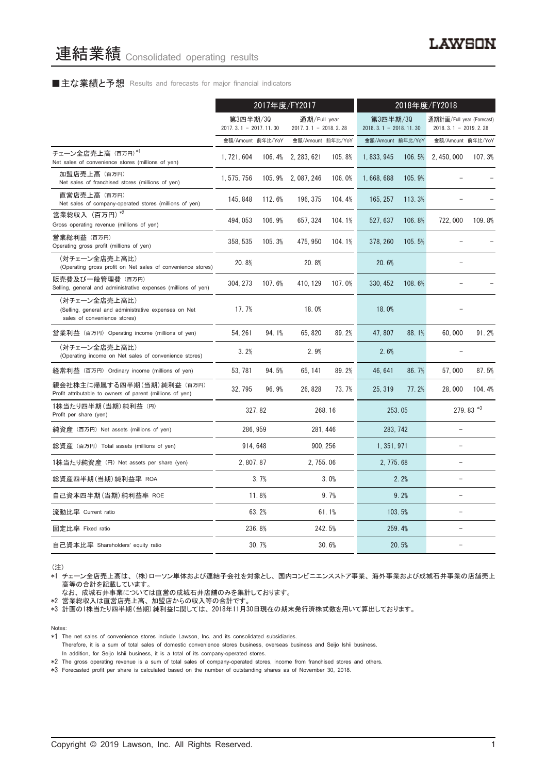#### ■主な業績と予想 Results and forecasts for major financial indicators

|                                                                                                       | 2017年度/FY2017                         |        |                                          | 2018年度/FY2018 |                                     |        |                                                     |           |
|-------------------------------------------------------------------------------------------------------|---------------------------------------|--------|------------------------------------------|---------------|-------------------------------------|--------|-----------------------------------------------------|-----------|
|                                                                                                       | 第3四半期/30<br>2017. 3. 1 - 2017. 11. 30 |        | 通期/Full year<br>2017. 3. 1 - 2018. 2. 28 |               | 第3四半期/30<br>$2018.3.1 - 2018.11.30$ |        | 通期計画/Full year (Forecast)<br>$2018.3.1 - 2019.2.28$ |           |
|                                                                                                       | 金額/Amount 前年比/YoY                     |        | 金額/Amount 前年比/YoY                        |               | 金額/Amount 前年比/YoY                   |        | 金額/Amount 前年比/YoY                                   |           |
| チェーン全店売上高 (百万円)*1<br>Net sales of convenience stores (millions of yen)                                | 1.721.604                             | 106.4% | 2, 283, 621                              | 105.8%        | 1, 833, 945                         | 106.5% | 2.450.000                                           | 107.3%    |
| 加盟店売上高 (百万円)<br>Net sales of franchised stores (millions of yen)                                      | 1, 575, 756                           |        | 105.9% 2,087,246                         | 106.0%        | 1,668,688                           | 105.9% |                                                     |           |
| 直営店売上高(百万円)<br>Net sales of company-operated stores (millions of yen)                                 | 145, 848                              | 112.6% | 196, 375                                 | 104.4%        | 165, 257                            | 113.3% |                                                     |           |
| 営業総収入 (百万円) *2<br>Gross operating revenue (millions of yen)                                           | 494, 053                              | 106.9% | 657, 324                                 | 104.1%        | 527, 637                            | 106.8% | 722,000                                             | 109.8%    |
| 営業総利益 (百万円)<br>Operating gross profit (millions of yen)                                               | 358, 535                              | 105.3% | 475, 950                                 | 104.1%        | 378.260                             | 105.5% |                                                     |           |
| (対チェーン全店売上高比)<br>(Operating gross profit on Net sales of convenience stores)                          | 20.8%                                 |        | 20.8%                                    |               | 20.6%                               |        |                                                     |           |
| 販売費及び一般管理費(百万円)<br>Selling, general and administrative expenses (millions of yen)                     | 304, 273                              | 107.6% | 410, 129                                 | 107.0%        | 330, 452                            | 108.6% |                                                     |           |
| (対チェーン全店売上高比)<br>(Selling, general and administrative expenses on Net<br>sales of convenience stores) | 17.7%                                 |        | 18.0%                                    |               | 18.0%                               |        |                                                     |           |
| 営業利益 (百万円) Operating income (millions of yen)                                                         | 54.261                                | 94.1%  | 65.820                                   | 89.2%         | 47.807                              | 88.1%  | 60.000                                              | 91.2%     |
| (対チェーン全店売上高比)<br>(Operating income on Net sales of convenience stores)                                | 3.2%                                  |        | 2.9%                                     |               | 2.6%                                |        |                                                     |           |
| 経常利益 (百万円) Ordinary income (millions of yen)                                                          | 53, 781                               | 94.5%  | 65, 141                                  | 89.2%         | 46, 641                             | 86.7%  | 57,000                                              | 87.5%     |
| 親会社株主に帰属する四半期 (当期) 純利益 (百万円)<br>Profit attributable to owners of parent (millions of yen)             | 32.795                                | 96.9%  | 26, 828                                  | 73.7%         | 25.319                              | 77.2%  | 28,000                                              | 104.4%    |
| 1株当たり四半期 (当期) 純利益 (円)<br>Profit per share (yen)                                                       |                                       | 327.82 |                                          | 268.16        | 253.05                              |        |                                                     | 279.83 *3 |
| 純資産 (百万円) Net assets (millions of yen)                                                                | 286.959                               |        | 281.446                                  |               | 283, 742                            |        |                                                     |           |
| 総資産 (百万円) Total assets (millions of yen)                                                              | 914, 648                              |        | 900, 256                                 |               | 1, 351, 971                         |        | L.                                                  |           |
| 1株当たり純資産 (円) Net assets per share (yen)                                                               | 2, 807.87                             |        | 2, 755.06                                |               | 2, 775, 68                          |        | L.                                                  |           |
| 総資産四半期(当期) 純利益率 ROA                                                                                   |                                       | 3.7%   |                                          | 3.0%          |                                     | 2.2%   |                                                     |           |
| 自己資本四半期(当期) 純利益率 ROE                                                                                  |                                       | 11.8%  |                                          | 9.7%          |                                     | 9.2%   |                                                     |           |
| 流動比率 Current ratio                                                                                    |                                       | 63.2%  |                                          | 61.1%         |                                     | 103.5% |                                                     |           |
| 固定比率 Fixed ratio                                                                                      |                                       | 236.8% |                                          | 242.5%        |                                     | 259.4% |                                                     |           |
| 自己資本比率 Shareholders' equity ratio                                                                     |                                       | 30.7%  |                                          | 30.6%         |                                     | 20.5%  |                                                     |           |

(注)

\*1 チェーン全店売上高は、(株)ローソン単体および連結子会社を対象とし、国内コンビニエンスストア事業、海外事業および成城石井事業の店舗売上 高等の合計を記載しています。

なお、成城石井事業については直営の成城石井店舗のみを集計しております。

\*2 営業総収入は直営店売上高、加盟店からの収入等の合計です。

\*3 計画の1株当たり四半期(当期)純利益に関しては、2018年11月30日現在の期末発行済株式数を用いて算出しております。

Notes:

- \*1 The net sales of convenience stores include Lawson, Inc. and its consolidated subsidiaries.
- Therefore, it is a sum of total sales of domestic convenience stores business, overseas business and Seijo Ishii business. In addition, for Seijo Ishii business, it is a total of its company-operated stores.

\*2 The gross operating revenue is a sum of total sales of company-operated stores, income from franchised stores and others.

\*3 Forecasted profit per share is calculated based on the number of outstanding shares as of November 30, 2018.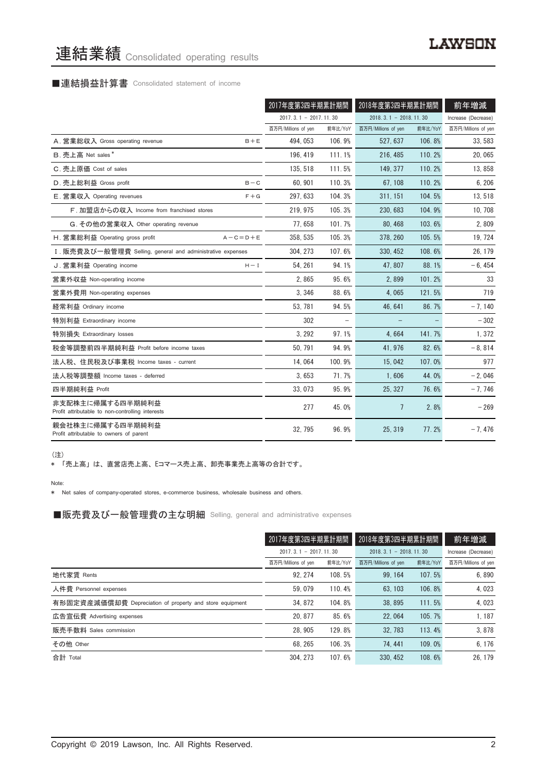# 連結業績 Consolidated operating results

# ■連結損益計算書 Consolidated statement of income

|                                                                      | 2017年度第3四半期累計期間         |         | 2018年度第3四半期累計期間         |         | 前年増減                |
|----------------------------------------------------------------------|-------------------------|---------|-------------------------|---------|---------------------|
|                                                                      | $2017.3.1 - 2017.11.30$ |         | $2018.3.1 - 2018.11.30$ |         | Increase (Decrease) |
|                                                                      | 百万円/Millions of yen     | 前年比/YoY | 百万円/Millions of yen     | 前年比/YoY | 百万円/Millions of yen |
| A. 営業総収入 Gross operating revenue<br>$B + E$                          | 494, 053                | 106.9%  | 527.637                 | 106.8%  | 33.583              |
| B. 売上高 Net sales*                                                    | 196.419                 | 111.1%  | 216, 485                | 110.2%  | 20,065              |
| C. 売上原価 Cost of sales                                                | 135, 518                | 111.5%  | 149.377                 | 110.2%  | 13,858              |
| D. 売上総利益 Gross profit<br>$B - C$                                     | 60.901                  | 110.3%  | 67, 108                 | 110.2%  | 6,206               |
| E. 営業収入 Operating revenues<br>$F + G$                                | 297.633                 | 104.3%  | 311.151                 | 104.5%  | 13,518              |
| F. 加盟店からの収入 Income from franchised stores                            | 219.975                 | 105.3%  | 230, 683                | 104.9%  | 10, 708             |
| G. その他の営業収入 Other operating revenue                                  | 77.658                  | 101.7%  | 80.468                  | 103.6%  | 2,809               |
| H. 営業総利益 Operating gross profit<br>$A - C = D + E$                   | 358, 535                | 105.3%  | 378.260                 | 105.5%  | 19, 724             |
| I. 販売費及び一般管理費 Selling, general and administrative expenses           | 304, 273                | 107.6%  | 330, 452                | 108.6%  | 26, 179             |
| J. 営業利益 Operating income<br>$H - I$                                  | 54.261                  | 94.1%   | 47.807                  | 88.1%   | $-6, 454$           |
| 営業外収益 Non-operating income                                           | 2.865                   | 95.6%   | 2,899                   | 101.2%  | 33                  |
| 営業外費用 Non-operating expenses                                         | 3,346                   | 88.6%   | 4,065                   | 121.5%  | 719                 |
| 経常利益 Ordinary income                                                 | 53, 781                 | 94.5%   | 46, 641                 | 86.7%   | $-7,140$            |
| 特別利益 Extraordinary income                                            | 302                     |         |                         |         | $-302$              |
| 特別損失 Extraordinary losses                                            | 3, 292                  | 97.1%   | 4.664                   | 141.7%  | 1,372               |
| 税金等調整前四半期純利益 Profit before income taxes                              | 50, 791                 | 94.9%   | 41, 976                 | 82.6%   | $-8,814$            |
| 法人税、住民税及び事業税 Income taxes - current                                  | 14,064                  | 100.9%  | 15,042                  | 107.0%  | 977                 |
| 法人税等調整額 Income taxes - deferred                                      | 3.653                   | 71.7%   | 1.606                   | 44.0%   | $-2,046$            |
| 四半期純利益 Profit                                                        | 33.073                  | 95.9%   | 25.327                  | 76.6%   | $-7,746$            |
| 非支配株主に帰属する四半期純利益<br>Profit attributable to non-controlling interests | 277                     | 45.0%   | 7                       | 2.8%    | $-269$              |
| 親会社株主に帰属する四半期純利益<br>Profit attributable to owners of parent          | 32, 795                 | 96.9%   | 25.319                  | 77.2%   | $-7,476$            |

(注)

\* 「売上高」は、直営店売上高、Eコマース売上高、卸売事業売上高等の合計です。

Note:

\* Net sales of company-operated stores, e-commerce business, wholesale business and others.

■販売費及び一般管理費の主な明細 Selling, general and administrative expenses

|                                                          | 2017年度第3四半期累計期間                                    |         |                     | 2018年度第3四半期累計期間 |                     |
|----------------------------------------------------------|----------------------------------------------------|---------|---------------------|-----------------|---------------------|
|                                                          | $2017.3.1 - 2017.11.30$<br>$2018.3.1 - 2018.11.30$ |         | Increase (Decrease) |                 |                     |
|                                                          | 百万円/Millions of yen                                | 前年比/YoY | 百万円/Millions of yen | 前年比/YoY         | 百万円/Millions of yen |
| 地代家賃 Rents                                               | 92.274                                             | 108.5%  | 99.164              | 107.5%          | 6.890               |
| 人件費 Personnel expenses                                   | 59.079                                             | 110.4%  | 63.103              | 106.8%          | 4,023               |
| 有形固定資産減価償却費 Depreciation of property and store equipment | 34.872                                             | 104.8%  | 38.895              | 111.5%          | 4,023               |
| 広告宣伝費 Advertising expenses                               | 20.877                                             | 85.6%   | 22.064              | 105.7%          | 1.187               |
| 販売手数料 Sales commission                                   | 28.905                                             | 129.8%  | 32.783              | 113.4%          | 3,878               |
| その他 Other                                                | 68.265                                             | 106.3%  | 74.441              | 109.0%          | 6, 176              |
| 合計 Total                                                 | 304.273                                            | 107.6%  | 330, 452            | 108.6%          | 26.179              |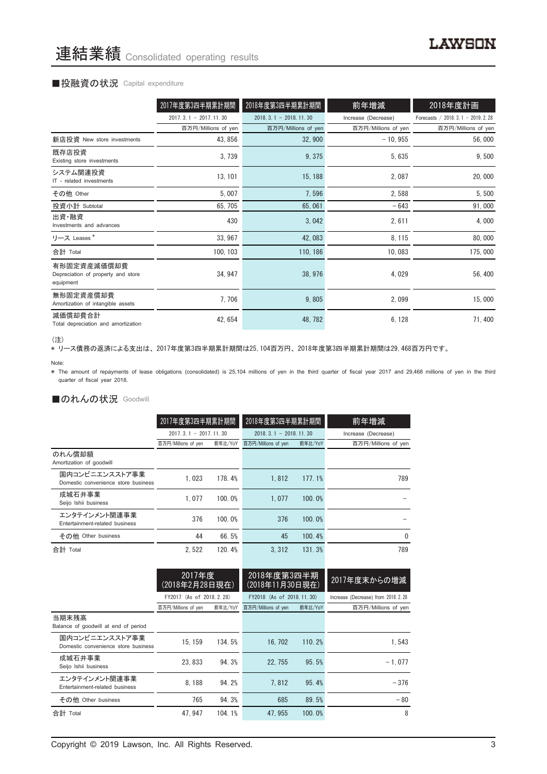#### ■投融資の状況 Capital expenditure

|                                                                | 2017年度第3四半期累計期間         | 2018年度第3四半期累計期間         | 前年増減                | 2018年度計画                            |
|----------------------------------------------------------------|-------------------------|-------------------------|---------------------|-------------------------------------|
|                                                                | $2017.3.1 - 2017.11.30$ | $2018.3.1 - 2018.11.30$ | Increase (Decrease) | Forecasts / 2018. 3.1 - 2019. 2. 28 |
|                                                                | 百万円/Millions of yen     | 百万円/Millions of yen     | 百万円/Millions of yen | 百万円/Millions of yen                 |
| 新店投資 New store investments                                     | 43, 856                 | 32,900                  | $-10, 955$          | 56,000                              |
| 既存店投資<br>Existing store investments                            | 3,739                   | 9,375                   | 5,635               | 9,500                               |
| システム関連投資<br>IT - related investments                           | 13, 101                 | 15, 188                 | 2,087               | 20,000                              |
| その他 Other                                                      | 5,007                   | 7,596                   | 2,588               | 5,500                               |
| 投資小計 Subtotal                                                  | 65, 705                 | 65,061                  | $-643$              | 91,000                              |
| 出資·融資<br>Investments and advances                              | 430                     | 3,042                   | 2,611               | 4,000                               |
| リース Leases*                                                    | 33, 967                 | 42,083                  | 8, 115              | 80,000                              |
| 合計 Total                                                       | 100, 103                | 110, 186                | 10,083              | 175,000                             |
| 有形固定資産減価償却費<br>Depreciation of property and store<br>equipment | 34, 947                 | 38, 976                 | 4,029               | 56, 400                             |
| 無形固定資産償却費<br>Amortization of intangible assets                 | 7,706                   | 9,805                   | 2,099               | 15,000                              |
| 減価償却費合計<br>Total depreciation and amortization                 | 42, 654                 | 48, 782                 | 6, 128              | 71,400                              |

<sup>(</sup>注)

、----<br>\* リース債務の返済による支出は、2017年度第3四半期累計期間は25,104百万円、2018年度第3四半期累計期間は29,468百万円です。

\* The amount of repayments of lease obligations (consolidated) is 25,104 millions of yen in the third quarter of fiscal year 2017 and 29,468 millions of yen in the third quarter of fiscal year 2018.

#### ■のれんの状況 Goodwill

|                                                       | 2017年度第3四半期累計期間         |         | 2018年度第3四半期累計期間         |         | 前年増減                |  |
|-------------------------------------------------------|-------------------------|---------|-------------------------|---------|---------------------|--|
|                                                       | $2017.3.1 - 2017.11.30$ |         | $2018.3.1 - 2018.11.30$ |         | Increase (Decrease) |  |
|                                                       | 百万円/Millions of yen     | 前年比/YoY | 百万円/Millions of yen     | 前年比/YoY | 百万円/Millions of yen |  |
| のれん償却額<br>Amortization of goodwill                    |                         |         |                         |         |                     |  |
| 国内コンビニエンスストア事業<br>Domestic convenience store business | 1.023                   | 178.4%  | 1.812                   | 177.1%  | 789                 |  |
| 成城石井事業<br>Seijo Ishii business                        | 1.077                   | 100.0%  | 1.077                   | 100.0%  |                     |  |
| エンタテインメント関連事業<br>Entertainment-related business       | 376                     | 100.0%  | 376                     | 100.0%  |                     |  |
| その他 Other business                                    | 44                      | 66.5%   | 45                      | 100.4%  | $\Omega$            |  |
| 合計 Total                                              | 2.522                   | 120.4%  | 3.312                   | 131.3%  | 789                 |  |

|                                                       | 2017年度<br>(2018年2月28日現在) |         | 2018年度第3四半期<br>(2018年11月30日現在) |         | 2017年度末からの増減                         |
|-------------------------------------------------------|--------------------------|---------|--------------------------------|---------|--------------------------------------|
|                                                       | FY2017 (As of 2018.2.28) |         | FY2018 (As of 2018, 11, 30)    |         | Increase (Decrease) from 2018. 2. 28 |
|                                                       | 百万円/Millions of yen      | 前年比/YoY | 百万円/Millions of yen            | 前年比/YoY | 百万円/Millions of yen                  |
| 当期末残高<br>Balance of goodwill at end of period         |                          |         |                                |         |                                      |
| 国内コンビニエンスストア事業<br>Domestic convenience store business | 15.159                   | 134.5%  | 16, 702                        | 110.2%  | 1.543                                |
| 成城石井事業<br>Seijo Ishii business                        | 23.833                   | 94.3%   | 22.755                         | 95.5%   | $-1.077$                             |
| エンタテインメント関連事業<br>Entertainment-related business       | 8.188                    | 94.2%   | 7.812                          | 95.4%   | $-376$                               |
| その他 Other business                                    | 765                      | 94.3%   | 685                            | 89.5%   | $-80$                                |
| 合計 Total                                              | 47.947                   | 104.1%  | 47.955                         | 100.0%  | 8                                    |

Note: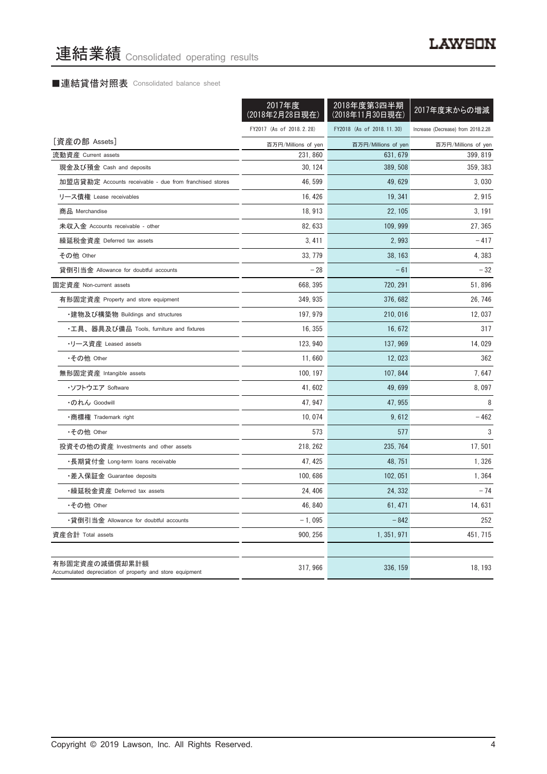#### ■連結貸借対照表 Consolidated balance sheet

|                                                                            | 2017年度<br>(2018年2月28日現在) | 2018年度第3四半期<br>(2018年11月30日現在) | 2017年度末からの増減                       |
|----------------------------------------------------------------------------|--------------------------|--------------------------------|------------------------------------|
|                                                                            | FY2017 (As of 2018.2.28) | FY2018 (As of 2018.11.30)      | Increase (Decrease) from 2018.2.28 |
| [資産の部 Assets]                                                              | 百万円/Millions of yen      | 百万円/Millions of yen            | 百万円/Millions of yen                |
| 流動資産 Current assets                                                        | 231, 860                 | 631, 679                       | 399.819                            |
| 現金及び預金 Cash and deposits                                                   | 30, 124                  | 389, 508                       | 359, 383                           |
| 加盟店貸勘定 Accounts receivable - due from franchised stores                    | 46, 599                  | 49, 629                        | 3,030                              |
| リース債権 Lease receivables                                                    | 16, 426                  | 19, 341                        | 2,915                              |
| 商品 Merchandise                                                             | 18, 913                  | 22, 105                        | 3, 191                             |
| 未収入金 Accounts receivable - other                                           | 82.633                   | 109.999                        | 27, 365                            |
| 繰延税金資産 Deferred tax assets                                                 | 3,411                    | 2,993                          | - 417                              |
| その他 Other                                                                  | 33, 779                  | 38, 163                        | 4,383                              |
| 貸倒引当金 Allowance for doubtful accounts                                      | $-28$                    | $-61$                          | $-32$                              |
| 固定資産 Non-current assets                                                    | 668, 395                 | 720, 291                       | 51,896                             |
| 有形固定資産 Property and store equipment                                        | 349, 935                 | 376, 682                       | 26, 746                            |
| •建物及び構築物 Buildings and structures                                          | 197, 979                 | 210,016                        | 12,037                             |
| ・工具、器具及び備品 Tools, furniture and fixtures                                   | 16, 355                  | 16, 672                        | 317                                |
| ・リース資産 Leased assets                                                       | 123, 940                 | 137, 969                       | 14,029                             |
| •その他 Other                                                                 | 11,660                   | 12,023                         | 362                                |
| 無形固定資産 Intangible assets                                                   | 100, 197                 | 107, 844                       | 7,647                              |
| ・ソフトウエア Soffware                                                           | 41, 602                  | 49,699                         | 8,097                              |
| ・のれん Goodwill                                                              | 47, 947                  | 47, 955                        | 8                                  |
| •商標権 Trademark right                                                       | 10.074                   | 9,612                          | $-462$                             |
| •その他 Other                                                                 | 573                      | 577                            | 3                                  |
| 投資その他の資産 Investments and other assets                                      | 218, 262                 | 235, 764                       | 17,501                             |
| •長期貸付金 Long-term loans receivable                                          | 47, 425                  | 48, 751                        | 1,326                              |
| ・差入保証金 Guarantee deposits                                                  | 100, 686                 | 102, 051                       | 1,364                              |
| ・繰延税金資産 Deferred tax assets                                                | 24, 406                  | 24, 332                        | $-74$                              |
| •その他 Other                                                                 | 46, 840                  | 61, 471                        | 14, 631                            |
| •貸倒引当金 Allowance for doubtful accounts                                     | $-1,095$                 | $-842$                         | 252                                |
| 資産合計 Total assets                                                          | 900, 256                 | 1, 351, 971                    | 451, 715                           |
| 有形固定資産の減価償却累計額<br>Accumulated depreciation of property and store equipment | 317, 966                 | 336, 159                       | 18, 193                            |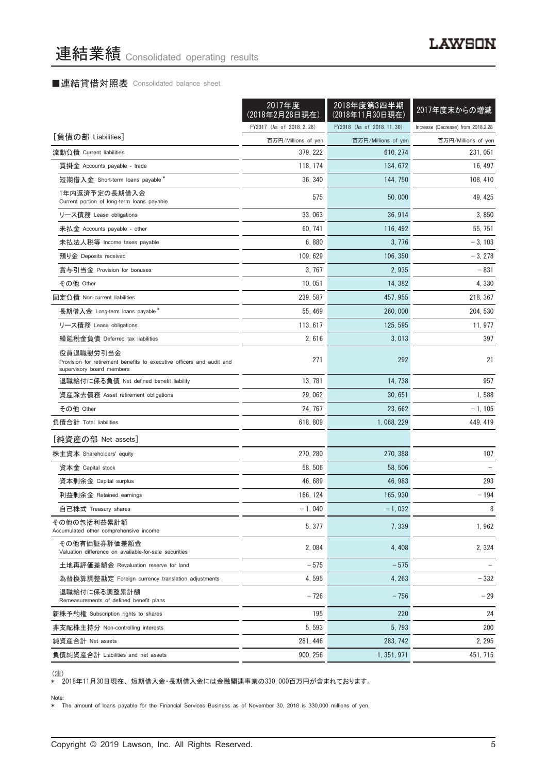#### ■連結貸借対照表 Consolidated balance sheet

|                                                                                                                 | 2017年度<br>(2018年2月28日現在) | 2018年度第3四半期<br>(2018年11月30日現在) | 2017年度末からの増減                       |
|-----------------------------------------------------------------------------------------------------------------|--------------------------|--------------------------------|------------------------------------|
|                                                                                                                 | FY2017 (As of 2018.2.28) | FY2018 (As of 2018.11.30)      | Increase (Decrease) from 2018.2.28 |
| [負債の部 Liabilities]                                                                                              | 百万円/Millions of yen      | 百万円/Millions of yen            | 百万円/Millions of yen                |
| 流動負債 Current liabilities                                                                                        | 379, 222                 | 610, 274                       | 231, 051                           |
| 買掛金 Accounts payable - trade                                                                                    | 118, 174                 | 134, 672                       | 16, 497                            |
| 短期借入金 Short-term loans payable *                                                                                | 36, 340                  | 144, 750                       | 108, 410                           |
| 1年内返済予定の長期借入金<br>Current portion of long-term loans payable                                                     | 575                      | 50,000                         | 49, 425                            |
| リース債務 Lease obligations                                                                                         | 33,063                   | 36, 914                        | 3,850                              |
| 未払金 Accounts payable - other                                                                                    | 60.741                   | 116, 492                       | 55, 751                            |
| 未払法人税等 Income taxes payable                                                                                     | 6,880                    | 3, 776                         | $-3, 103$                          |
| 預り金 Deposits received                                                                                           | 109, 629                 | 106, 350                       | $-3,278$                           |
| 賞与引当金 Provision for bonuses                                                                                     | 3, 767                   | 2,935                          | $-831$                             |
| その他 Other                                                                                                       | 10,051                   | 14, 382                        | 4,330                              |
| 固定負債 Non-current liabilities                                                                                    | 239, 587                 | 457, 955                       | 218, 367                           |
| 長期借入金 Long-term loans payable*                                                                                  | 55, 469                  | 260,000                        | 204, 530                           |
| リース債務 Lease obligations                                                                                         | 113, 617                 | 125, 595                       | 11, 977                            |
| 繰延税金負債 Deferred tax liabilities                                                                                 | 2,616                    | 3,013                          | 397                                |
| 役員退職慰労引当金<br>Provision for retirement benefits to executive officers and audit and<br>supervisory board members | 271                      | 292                            | 21                                 |
| 退職給付に係る負債 Net defined benefit liability                                                                         | 13, 781                  | 14, 738                        | 957                                |
| 資産除去債務 Asset retirement obligations                                                                             | 29,062                   | 30,651                         | 1,588                              |
| その他 Other                                                                                                       | 24, 767                  | 23,662                         | $-1, 105$                          |
| 負債合計 Total liabilities                                                                                          | 618, 809                 | 1, 068, 229                    | 449, 419                           |
| [純資産の部 Net assets]                                                                                              |                          |                                |                                    |
| 株主資本 Shareholders' equity                                                                                       | 270, 280                 | 270, 388                       | 107                                |
| 資本金 Capital stock                                                                                               | 58, 506                  | 58.506                         |                                    |
| 資本剰余金 Capital surplus                                                                                           | 46, 689                  | 46, 983                        | 293                                |
| 利益剰余金 Retained earnings                                                                                         | 166, 124                 | 165, 930                       | $-194$                             |
| 自己株式 Treasury shares                                                                                            | $-1,040$                 | $-1,032$                       | 8                                  |
| その他の包括利益累計額<br>Accumulated other comprehensive income                                                           | 5,377                    | 7,339                          | 1,962                              |
| その他有価証券評価差額金<br>Valuation difference on available-for-sale securities                                           | 2,084                    | 4, 408                         | 2, 324                             |
| 土地再評価差額金 Revaluation reserve for land                                                                           | $-575$                   | $-575$                         |                                    |
| 為替換算調整勘定 Foreign currency translation adjustments                                                               | 4, 595                   | 4, 263                         | $-332$                             |
| 退職給付に係る調整累計額<br>Remeasurements of defined benefit plans                                                         | $-726$                   | $-756$                         | $-29$                              |
| 新株予約権 Subscription rights to shares                                                                             | 195                      | 220                            | 24                                 |
| 非支配株主持分 Non-controlling interests                                                                               | 5, 593                   | 5,793                          | 200                                |
| 純資産合計 Net assets                                                                                                | 281, 446                 | 283, 742                       | 2, 295                             |
| 負債純資産合計 Liabilities and net assets                                                                              | 900, 256                 | 1, 351, 971                    | 451, 715                           |

\* 2018年11月30日現在、短期借入金・長期借入金には金融関連事業の330,000百万円が含まれております。

Note:

\* The amount of loans payable for the Financial Services Business as of November 30, 2018 is 330,000 millions of yen.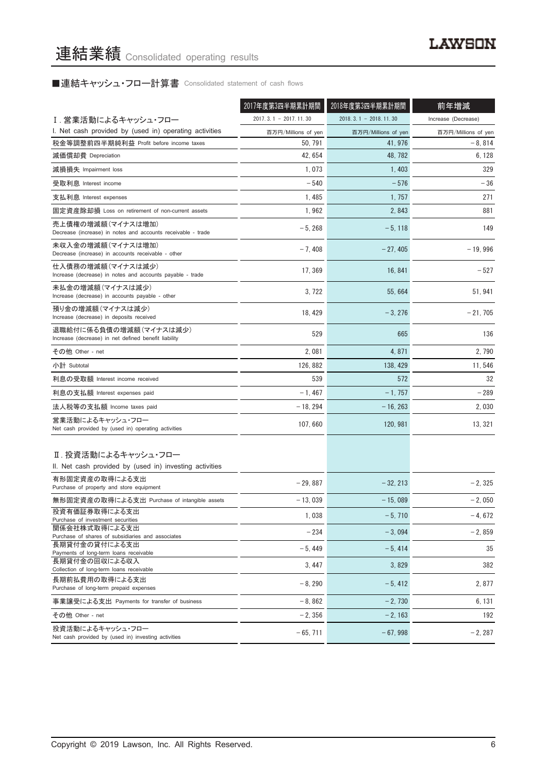# ■連結キャッシュ・フロー計算書 Consolidated statement of cash flows

|                                                                                   | 2017年度第3四半期累計期間         | 2018年度第3四半期累計期間         | 前年増減                |
|-----------------------------------------------------------------------------------|-------------------------|-------------------------|---------------------|
| Ⅰ. 営業活動によるキャッシュ・フロー                                                               | $2017.3.1 - 2017.11.30$ | $2018.3.1 - 2018.11.30$ | Increase (Decrease) |
| I. Net cash provided by (used in) operating activities                            | 百万円/Millions of yen     | 百万円/Millions of yen     | 百万円/Millions of yen |
| 税金等調整前四半期純利益 Profit before income taxes                                           | 50, 791                 | 41, 976                 | $-8,814$            |
| 減価償却費 Depreciation                                                                | 42, 654                 | 48, 782                 | 6, 128              |
| 減損損失 Impairment loss                                                              | 1,073                   | 1,403                   | 329                 |
| 受取利息 Interest income                                                              | $-540$                  | $-576$                  | $-36$               |
| 支払利息 Interest expenses                                                            | 1,485                   | 1, 757                  | 271                 |
| 固定資産除却損 Loss on retirement of non-current assets                                  | 1,962                   | 2,843                   | 881                 |
| 売上債権の増減額(マイナスは増加)<br>Decrease (increase) in notes and accounts receivable - trade | $-5, 268$               | $-5, 118$               | 149                 |
| 未収入金の増減額(マイナスは増加)<br>Decrease (increase) in accounts receivable - other           | $-7,408$                | $-27,405$               | $-19,996$           |
| 仕入債務の増減額(マイナスは減少)<br>Increase (decrease) in notes and accounts payable - trade    | 17, 369                 | 16, 841                 | $-527$              |
| 未払金の増減額(マイナスは減少)<br>Increase (decrease) in accounts payable - other               | 3, 722                  | 55,664                  | 51, 941             |
| 預り金の増減額(マイナスは減少)<br>Increase (decrease) in deposits received                      | 18, 429                 | $-3,276$                | $-21,705$           |
| 退職給付に係る負債の増減額(マイナスは減少)<br>Increase (decrease) in net defined benefit liability    | 529                     | 665                     | 136                 |
| その他 Other - net                                                                   | 2,081                   | 4,871                   | 2,790               |
| 小計 Subtotal                                                                       | 126, 882                | 138, 429                | 11, 546             |
| 利息の受取額 Interest income received                                                   | 539                     | 572                     | 32                  |
| 利息の支払額 Interest expenses paid                                                     | $-1,467$                | $-1,757$                | $-289$              |
| 法人税等の支払額 Income taxes paid                                                        | $-18, 294$              | $-16, 263$              | 2,030               |
| 営業活動によるキャッシュ・フロー<br>Net cash provided by (used in) operating activities           | 107,660                 | 120, 981                | 13, 321             |
| Ⅱ. 投資活動によるキャッシュ・フロー<br>II. Net cash provided by (used in) investing activities    |                         |                         |                     |
| 有形固定資産の取得による支出<br>Purchase of property and store equipment                        | $-29,887$               | $-32, 213$              | $-2, 325$           |
| 無形固定資産の取得による支出 Purchase of intangible assets                                      | $-13,039$               | $-15,089$               | $-2,050$            |
| 投資有価証券取得による支出<br>Purchase of investment securities                                | 1,038                   | $-5,710$                | $-4,672$            |
| 関係会社株式取得による支出                                                                     | $-234$                  | $-3,094$                | $-2,859$            |
| Purchase of shares of subsidiaries and associates<br>長期貸付金の貸付による支出                |                         |                         |                     |
| Payments of long-term loans receivable<br>長期貸付金の回収による収入                           | $-5,449$                | $-5,414$                | 35                  |
| Collection of long-term loans receivable                                          | 3, 447                  | 3,829                   | 382                 |
| 長期前払費用の取得による支出<br>Purchase of long-term prepaid expenses                          | $-8,290$                | $-5,412$                | 2,877               |
| 事業譲受による支出 Payments for transfer of business                                       | $-8,862$                | $-2,730$                | 6, 131              |
| その他 Other - net                                                                   | $-2,356$                | $-2, 163$               | 192                 |
| 投資活動によるキャッシュ・フロー<br>Net cash provided by (used in) investing activities           | $-65, 711$              | $-67,998$               | $-2, 287$           |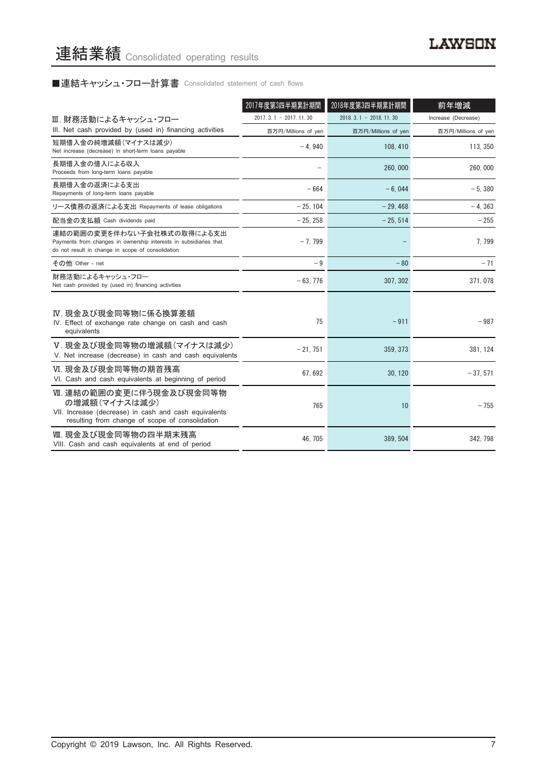# ■連結キャッシュ・フロー計算書 Consolidated statement of cash flows

|                                                                                                                                                      | 2017年度第3四半期累計期間         | 2018年度第3四半期累計期間             | 前年増減                |
|------------------------------------------------------------------------------------------------------------------------------------------------------|-------------------------|-----------------------------|---------------------|
| Ⅲ. 財務活動によるキャッシュ・フロー                                                                                                                                  | $2017.3.1 - 2017.11.30$ | $2018, 3, 1 - 2018, 11, 30$ | Increase (Decrease) |
| III. Net cash provided by (used in) financing activities                                                                                             | 百万円/Millions of yen     | 百万円/Millions of yen         | 百万円/Millions of yen |
| 短期借入金の純増減額(マイナスは減少)<br>Net increase (decrease) in short-term loans payable                                                                           | $-4,940$                | 108, 410                    | 113, 350            |
| 長期借入金の借入による収入<br>Proceeds from long-term loans payable                                                                                               |                         | 260,000                     | 260,000             |
| 長期借入金の返済による支出<br>Repayments of long-term loans payable                                                                                               | $-664$                  | $-6.044$                    | $-5.380$            |
| リース債務の返済による支出 Repayments of lease obligations                                                                                                        | $-25.104$               | $-29.468$                   | $-4.363$            |
| 配当金の支払額 Cash dividends paid                                                                                                                          | $-25, 258$              | $-25.514$                   | $-255$              |
| 連結の範囲の変更を伴わない子会社株式の取得による支出<br>Payments from changes in ownership interests in subsidiaries that<br>do not result in change in scope of consolidation | $-7.799$                |                             | 7.799               |
| その他 Other - net                                                                                                                                      | $-9$                    | $-80$                       | $-71$               |
| 財務活動によるキャッシュ・フロー<br>Net cash provided by (used in) financing activities                                                                              | $-63,776$               | 307, 302                    | 371, 078            |
| Ⅳ. 現金及び現金同等物に係る換算差額<br>IV. Effect of exchange rate change on cash and cash<br>equivalents                                                            | 75                      | $-911$                      | $-987$              |
| V.現金及び現金同等物の増減額(マイナスは減少)<br>V. Net increase (decrease) in cash and cash equivalents                                                                  | $-21,751$               | 359, 373                    | 381, 124            |
| VI. 現金及び現金同等物の期首残高<br>VI. Cash and cash equivalents at beginning of period                                                                           | 67.692                  | 30.120                      | $-37.571$           |
| Ⅶ. 連結の範囲の変更に伴う現金及び現金同等物<br>の増減額(マイナスは減少)<br>VII. Increase (decrease) in cash and cash equivalents<br>resulting from change of scope of consolidation | 765                     | 10                          | $-755$              |
| Ⅷ. 現金及び現金同等物の四半期末残高<br>VIII. Cash and cash equivalents at end of period                                                                              | 46.705                  | 389.504                     | 342.798             |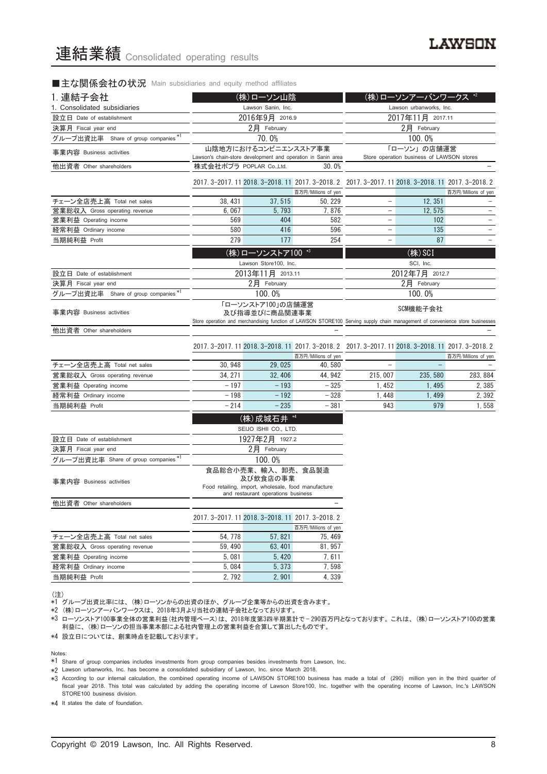#### ■主な関係会社の状況 Main subsidiaries and equity method affiliates

| 1. 連結子会社                            | (株)ローソン山陰                                                                                                                                                           |                                                     | (株)ローソンアーバンワークス *2                                                       |                                                                                                     |                                                          |                     |
|-------------------------------------|---------------------------------------------------------------------------------------------------------------------------------------------------------------------|-----------------------------------------------------|--------------------------------------------------------------------------|-----------------------------------------------------------------------------------------------------|----------------------------------------------------------|---------------------|
| 1. Consolidated subsidiaries        | Lawson Sanin, Inc.                                                                                                                                                  |                                                     |                                                                          |                                                                                                     | Lawson urbanworks, Inc.                                  |                     |
| 設立日 Date of establishment           |                                                                                                                                                                     | 2016年9月 2016.9                                      |                                                                          |                                                                                                     | 2017年11月 2017.11                                         |                     |
| 決算月 Fiscal year end                 |                                                                                                                                                                     | 2月 February                                         |                                                                          |                                                                                                     | 2月 February                                              |                     |
| グループ出資比率 Share of group companies*1 |                                                                                                                                                                     | 70.0%                                               |                                                                          | 100.0%                                                                                              |                                                          |                     |
| 事業内容 Business activities            | Lawson's chain-store development and operation in Sanin area                                                                                                        | 山陰地方におけるコンビニエンスストア事業                                |                                                                          |                                                                                                     | 「ローソン」の店舗運営<br>Store operation business of LAWSON stores |                     |
| 他出資者 Other shareholders             | 株式会社ポプラ POPLAR Co.,Ltd.                                                                                                                                             |                                                     | 30.0%                                                                    |                                                                                                     |                                                          |                     |
|                                     |                                                                                                                                                                     |                                                     | 2017. 3-2017. 11 2018. 3-2018. 11 2017. 3-2018. 2<br>百万円/Millions of yen |                                                                                                     | 2017. 3-2017. 11 2018. 3-2018. 11 2017. 3-2018. 2        | 百万円/Millions of yen |
| チェーン全店売上高 Total net sales           | 38, 431                                                                                                                                                             | 37, 515                                             | 50, 229                                                                  | $\qquad \qquad -$                                                                                   | 12, 351                                                  |                     |
| 営業総収入 Gross operating revenue       | 6,067                                                                                                                                                               | 5, 793                                              | 7,876                                                                    | $\qquad \qquad -$                                                                                   | 12, 575                                                  |                     |
| 営業利益 Operating income               | 569                                                                                                                                                                 | 404                                                 | 582                                                                      | $\overline{\phantom{0}}$                                                                            | 102                                                      |                     |
| 経常利益 Ordinary income                | 580                                                                                                                                                                 | 416                                                 | 596                                                                      | ÷,                                                                                                  | 135                                                      |                     |
| 当期純利益 Profit                        | 279                                                                                                                                                                 | 177                                                 | 254                                                                      | $\overline{\phantom{0}}$                                                                            | 87                                                       | -                   |
|                                     |                                                                                                                                                                     | (株)ローソンストア100 *3                                    |                                                                          |                                                                                                     | $($ 株 $)$ SCI                                            |                     |
|                                     |                                                                                                                                                                     | Lawson Store100, Inc.                               |                                                                          |                                                                                                     | SCI, Inc.                                                |                     |
| 設立日 Date of establishment           |                                                                                                                                                                     | 2013年11月 2013.11                                    |                                                                          |                                                                                                     | 2012年7月 2012.7                                           |                     |
| 決算月 Fiscal year end                 |                                                                                                                                                                     | 2月 February                                         |                                                                          |                                                                                                     | 2月 February                                              |                     |
| グループ出資比率 Share of group companies*1 |                                                                                                                                                                     |                                                     |                                                                          |                                                                                                     | 100.0%                                                   |                     |
|                                     | 100.0%                                                                                                                                                              |                                                     |                                                                          |                                                                                                     |                                                          |                     |
| 事業内容 Business activities            | 「ローソンストア100」の店舗運営<br>及び指導並びに商品関連事業<br>Store operation and merchandising function of LAWSON STORE100 Serving supply chain management of convenience store businesses |                                                     |                                                                          |                                                                                                     | SCM機能子会社                                                 |                     |
| 他出資者 Other shareholders             |                                                                                                                                                                     |                                                     |                                                                          |                                                                                                     |                                                          |                     |
|                                     |                                                                                                                                                                     |                                                     |                                                                          |                                                                                                     |                                                          |                     |
|                                     |                                                                                                                                                                     |                                                     | 百万円/Millions of yen                                                      | 2017. 3-2017. 11 2018. 3-2018. 11 2017. 3-2018. 2 2017. 3-2017. 11 2018. 3-2018. 11 2017. 3-2018. 2 |                                                          | 百万円/Millions of yen |
| チェーン全店売上高 Total net sales           | 30, 948                                                                                                                                                             | 29, 025                                             | 40, 580                                                                  |                                                                                                     |                                                          |                     |
| 営業総収入 Gross operating revenue       | 34, 271                                                                                                                                                             | 32, 406                                             | 44, 942                                                                  | 215, 007                                                                                            | 235, 580                                                 | 283, 884            |
| 営業利益 Operating income               | $-197$                                                                                                                                                              | $-193$                                              | $-325$                                                                   | 1, 452                                                                                              | 1, 495                                                   | 2,385               |
| 経常利益 Ordinary income                | $-198$                                                                                                                                                              | $-192$                                              | $-328$                                                                   | 1,448                                                                                               | 1, 499                                                   | 2, 392              |
| 当期純利益 Profit                        | $-214$                                                                                                                                                              | $-235$                                              | $-381$                                                                   | 943                                                                                                 | 979                                                      | 1,558               |
|                                     |                                                                                                                                                                     | (株)成城石井 *4                                          |                                                                          |                                                                                                     |                                                          |                     |
|                                     |                                                                                                                                                                     | SEIJO ISHII CO., LTD.                               |                                                                          |                                                                                                     |                                                          |                     |
| 設立日 Date of establishment           |                                                                                                                                                                     | 1927年2月 1927.2                                      |                                                                          |                                                                                                     |                                                          |                     |
| 決算月 Fiscal year end                 |                                                                                                                                                                     | 2月 February                                         |                                                                          |                                                                                                     |                                                          |                     |
| グループ出資比率 Share of group companies*1 |                                                                                                                                                                     | 100.0%                                              |                                                                          |                                                                                                     |                                                          |                     |
|                                     |                                                                                                                                                                     | 食品総合小売業、輸入、卸売、食品製造<br>及び飲食店の事業                      |                                                                          |                                                                                                     |                                                          |                     |
| 事業内容 Business activities            |                                                                                                                                                                     | Food retailing, import, wholesale, food manufacture |                                                                          |                                                                                                     |                                                          |                     |
| 他出資者 Other shareholders             | and restaurant operations business                                                                                                                                  |                                                     |                                                                          |                                                                                                     |                                                          |                     |
|                                     |                                                                                                                                                                     |                                                     |                                                                          |                                                                                                     |                                                          |                     |
|                                     |                                                                                                                                                                     | 2017. 3-2017. 11 2018. 3-2018. 11 2017. 3-2018. 2   |                                                                          |                                                                                                     |                                                          |                     |
|                                     |                                                                                                                                                                     |                                                     | 百万円/Millions of yen                                                      |                                                                                                     |                                                          |                     |
| チェーン全店売上高 Total net sales           | 54, 778                                                                                                                                                             | 57,821                                              | 75, 469                                                                  |                                                                                                     |                                                          |                     |
| 営業総収入 Gross operating revenue       | 59, 490                                                                                                                                                             | 63.401                                              | 81, 957                                                                  |                                                                                                     |                                                          |                     |
| 営業利益 Operating income               | 5,081                                                                                                                                                               | 5,420                                               | 7,611                                                                    |                                                                                                     |                                                          |                     |
| 経常利益 Ordinary income                | 5,084                                                                                                                                                               | 5,373                                               | 7,598                                                                    |                                                                                                     |                                                          |                     |
| 当期純利益 Profit                        | 2, 792                                                                                                                                                              | 2,901                                               | 4,339                                                                    |                                                                                                     |                                                          |                     |

(注)

、、」<br>\*1 グループ出資比率には、(株)ローソンからの出資のほか、グループ企業等からの出資を含みます。

\*2 (株)ローソンアーバンワークスは、2018年3月より当社の連結子会社となっております。

\*3 ローソンストア100事業全体の営業利益(社内管理ベース)は、2018年度第3四半期累計で — 290百万円となっております。これは、(株)ローソンストア100の営業 利益に、(株)ローソンの担当事業本部による社内管理上の営業利益を合算して算出したものです。

\*4 設立日については、創業時点を記載しております。

Notes:

\*1 Share of group companies includes investments from group companies besides investments from Lawson, Inc.

\*2 Lawson urbanworks, Inc. has become a consolidated subsidiary of Lawson, Inc. since March 2018.

\*3 According to our internal calculation, the combined operating income of LAWSON STORE100 business has made a total of (290) million yen in the third quarter of fiscal year 2018. This total was calculated by adding the operating income of Lawson Store100, Inc. together with the operating income of Lawson, Inc.'s LAWSON STORE100 business division.

\*4 It states the date of foundation.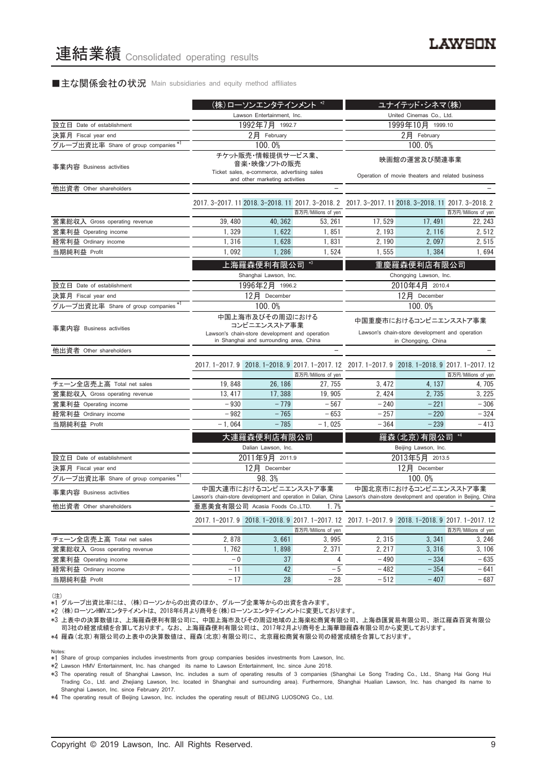#### ■主な関係会社の状況 Main subsidiaries and equity method affiliates

|                                      |                                                                                                                              | (株)ローソンエンタテインメント *2                |                     |                                                                                                                                  | ユナイテッド・シネマ(株)                      |                     |
|--------------------------------------|------------------------------------------------------------------------------------------------------------------------------|------------------------------------|---------------------|----------------------------------------------------------------------------------------------------------------------------------|------------------------------------|---------------------|
|                                      | Lawson Entertainment, Inc.                                                                                                   |                                    |                     |                                                                                                                                  | United Cinemas Co., Ltd.           |                     |
| 設立日 Date of establishment            |                                                                                                                              | 1992年7月 1992.7                     |                     | 1999年10月 1999.10                                                                                                                 |                                    |                     |
| 決算月 Fiscal year end                  |                                                                                                                              | $2$ 月 February                     |                     | $2$ 月 February                                                                                                                   |                                    |                     |
| グループ出資比率 Share of group companies *1 |                                                                                                                              | 100.0%                             |                     |                                                                                                                                  | 100.0%                             |                     |
| 事業内容 Business activities             | チケット販売・情報提供サービス業、<br>音楽・映像ソフトの販売<br>Ticket sales, e-commerce, advertising sales<br>and other marketing activities            |                                    |                     | 映画館の運営及び関連事業<br>Operation of movie theaters and related business                                                                 |                                    |                     |
| 他出資者 Other shareholders              |                                                                                                                              |                                    |                     |                                                                                                                                  |                                    |                     |
|                                      |                                                                                                                              |                                    | 百万円/Millions of yen | 2017. 3-2017. 11 2018. 3-2018. 11 2017. 3-2018. 2 2017. 3-2017. 11 2018. 3-2018. 11 2017. 3-2018. 2                              |                                    | 百万円/Millions of yen |
| 営業総収入 Gross operating revenue        | 39,480                                                                                                                       | 40, 362                            | 53, 261             | 17,529                                                                                                                           | 17, 491                            | 22, 243             |
| 営業利益 Operating income                | 1,329                                                                                                                        | 1,622                              | 1,851               | 2.193                                                                                                                            | 2, 116                             | 2,512               |
| 経常利益 Ordinary income                 | 1,316                                                                                                                        | 1,628                              | 1,831               | 2, 190                                                                                                                           | 2,097                              | 2,515               |
| 当期純利益 Profit                         | 1,092                                                                                                                        | 1,286                              | 1,524               | 1,555                                                                                                                            | 1,384                              | 1,694               |
|                                      | $*3$<br>上海羅森便利有限公司<br>Shanghai Lawson, Inc.                                                                                  |                                    |                     | 重慶羅森便利店有限公司<br>Chongqing Lawson, Inc.                                                                                            |                                    |                     |
| 設立日 Date of establishment            |                                                                                                                              | 1996年2月 1996.2                     |                     |                                                                                                                                  | 2010年4月 2010.4                     |                     |
| 決算月 Fiscal year end                  |                                                                                                                              | 12月 December                       |                     | 12月 December                                                                                                                     |                                    |                     |
| グループ出資比率 Share of group companies*1  |                                                                                                                              | 100.0%                             |                     | 100.0%                                                                                                                           |                                    |                     |
| 事業内容 Business activities             | 中国上海市及びその周辺における<br>コンビニエンスストア事業<br>Lawson's chain-store development and operation<br>in Shanghai and surrounding area, China |                                    |                     | 中国重慶市におけるコンビニエンスストア事業<br>Lawson's chain-store development and operation<br>in Chongqing, China                                   |                                    |                     |
| 他出資者 Other shareholders              |                                                                                                                              |                                    |                     |                                                                                                                                  |                                    |                     |
|                                      |                                                                                                                              |                                    | 百万円/Millions of yen | 2017.1-2017.9 2018.1-2018.9 2017.1-2017.12 2017.1-2017.9 2018.1-2018.9 2017.1-2017.12                                            |                                    | 百万円/Millions of yen |
| チェーン全店売上高 Total net sales            | 19,848                                                                                                                       | 26, 186                            | 27, 755             | 3, 472                                                                                                                           | 4, 137                             | 4, 705              |
| 営業総収入 Gross operating revenue        | 13, 417                                                                                                                      | 17,388                             | 19, 905             | 2, 424                                                                                                                           | 2,735                              | 3, 225              |
| 営業利益 Operating income                | $-930$                                                                                                                       | $-779$                             | $-567$              | $-240$                                                                                                                           | $-221$                             | $-306$              |
| 経常利益 Ordinary income                 | $-982$                                                                                                                       | $-765$                             | $-653$              | $-257$                                                                                                                           | $-220$                             | $-324$              |
| 当期純利益 Profit                         | $-1,064$                                                                                                                     | $-785$                             | $-1,025$            | $-364$                                                                                                                           | $-239$                             | $-413$              |
|                                      |                                                                                                                              | 大連羅森便利店有限公司<br>Dalian Lawson, Inc. |                     |                                                                                                                                  | 羅森(北京)有限公司<br>Beijing Lawson, Inc. |                     |
| 設立日 Date of establishment            |                                                                                                                              | 2011年9月 2011.9                     |                     |                                                                                                                                  | 2013年5月 2013.5                     |                     |
| 決算月 Fiscal year end                  |                                                                                                                              | 12月 December                       |                     |                                                                                                                                  | 12月 December                       |                     |
| グループ出資比率 Share of group companies *1 |                                                                                                                              | 98.3%                              |                     |                                                                                                                                  | 100.0%                             |                     |
| 事業内容 Business activities             |                                                                                                                              | 中国大連市におけるコンビニエンスストア事業              |                     | Lawson's chain-store development and operation in Dalian, China Lawson's chain-store development and operation in Beijing, China | 中国北京市におけるコンビニエンスストア事業              |                     |
| 他出資者 Other shareholders              |                                                                                                                              | 亜恵美食有限公司 Acasia Foods Co.,LTD.     | 1.7%                |                                                                                                                                  |                                    |                     |
|                                      |                                                                                                                              |                                    | 百万円/Millions of yen | 2017.1-2017.9 2018.1-2018.9 2017.1-2017.12 2017.1-2017.9 2018.1-2018.9 2017.1-2017.12                                            |                                    | 百万円/Millions of yen |
| チェーン全店売上高 Total net sales            | 2,878                                                                                                                        | 3,661                              | 3,995               | 2,315                                                                                                                            | 3,341                              | 3,246               |
| 営業総収入 Gross operating revenue        | 1,762                                                                                                                        | 1,898                              | 2,371               | 2, 217                                                                                                                           | 3,316                              | 3, 106              |
| 営業利益 Operating income                | $-0$                                                                                                                         | 37                                 | 4                   | $-490$                                                                                                                           | $-334$                             | $-635$              |
| 経常利益 Ordinary income                 | - 11                                                                                                                         | 42                                 | $-5$                | $-482$                                                                                                                           | $-354$                             | $-641$              |
| 当期純利益 Profit                         | $-17$                                                                                                                        | 28                                 | $-28$               | $-512$                                                                                                                           | $-407$                             | $-687$              |

(注)

、....<br>\*1 グループ出資比率には、(株)ローソンからの出資のほか、グループ企業等からの出資を含みます。

\*2 (株)ローソンHMVエンタテイメントは、2018年6月より商号を(株)ローソンエンタテインメントに変更しております。

- - - . . . .<br>∗3 上表中の決算数値は、上海羅森便利有限公司に、中国上海市及びその周辺地域の上海楽松商貿有限公司、上海恭匯貿易有限公司、浙江羅森百貨有限公 司3社の経営成績を合算しております。なお、上海羅森便利有限公司は、2017年2月より商号を上海華聯羅森有限公司から変更しております。

\*4 羅森(北京)有限公司の上表中の決算数値は、羅森(北京)有限公司に、北京羅松商貿有限公司の経営成績を合算しております。

Notes:

\*1 Share of group companies includes investments from group companies besides investments from Lawson, Inc.

\*2 Lawson HMV Entertainment, Inc. has changed its name to Lawson Entertainment, Inc. since June 2018.

\*3 The operating result of Shanghai Lawson, Inc. includes a sum of operating results of 3 companies (Shanghai Le Song Trading Co., Ltd., Shang Hai Gong Hui Trading Co., Ltd. and Zhejiang Lawson, Inc. located in Shanghai and surrounding area). Furthermore, Shanghai Hualian Lawson, Inc. has changed its name to Shanghai Lawson, Inc. since February 2017.

\*4 The operating result of Beijing Lawson, Inc. includes the operating result of BEIJING LUOSONG Co., Ltd.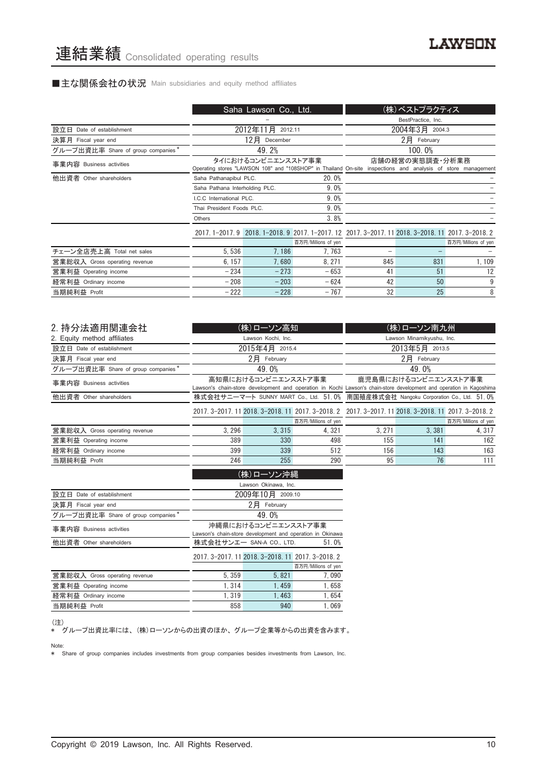#### ■主な関係会社の状況 Main subsidiaries and equity method affiliates

|                                    | Saha Lawson Co., Ltd.                                                                                                                                 |                     |                                                                                        |                    | (株)ベストプラクティス   |                     |  |
|------------------------------------|-------------------------------------------------------------------------------------------------------------------------------------------------------|---------------------|----------------------------------------------------------------------------------------|--------------------|----------------|---------------------|--|
|                                    |                                                                                                                                                       |                     |                                                                                        | BestPractice, Inc. |                |                     |  |
| 設立日 Date of establishment          |                                                                                                                                                       | 2012年11月<br>2012.11 |                                                                                        |                    | 2004年3月 2004.3 |                     |  |
| 決算月 Fiscal year end                |                                                                                                                                                       | 12月<br>December     |                                                                                        | 2月 February        |                |                     |  |
| グループ出資比率 Share of group companies* |                                                                                                                                                       | 49.2%               |                                                                                        |                    | 100.0%         |                     |  |
| 事業内容 Business activities           | タイにおけるコンビニエンスストア事業<br>店舗の経営の実態調査・分析業務<br>Operating stores "LAWSON 108" and "108SHOP" in Thailand On-site inspections and analysis of store management |                     |                                                                                        |                    |                |                     |  |
| 他出資者 Other shareholders            | Saha Pathanapibul PLC.                                                                                                                                |                     | 20.0%                                                                                  |                    |                |                     |  |
|                                    | Saha Pathana Interholding PLC.                                                                                                                        |                     | 9.0%                                                                                   |                    |                |                     |  |
|                                    | I.C.C International PLC.                                                                                                                              |                     | 9.0%                                                                                   |                    |                |                     |  |
|                                    | Thai President Foods PLC.                                                                                                                             |                     | 9.0%                                                                                   |                    |                |                     |  |
|                                    | Others                                                                                                                                                |                     | 3.8%                                                                                   |                    |                |                     |  |
|                                    |                                                                                                                                                       |                     | 2017.1-2017.9 2018.1-2018.9 2017.1-2017.12 2017.3-2017.11 2018.3-2018.11 2017.3-2018.2 |                    |                |                     |  |
|                                    |                                                                                                                                                       |                     | 百万円/Millions of yen                                                                    |                    |                | 百万円/Millions of yen |  |
| チェーン全店売上高 Total net sales          | 5.536                                                                                                                                                 | 7.186               | 7, 763                                                                                 |                    |                |                     |  |
| 営業総収入 Gross operating revenue      | 6, 157                                                                                                                                                | 7,680               | 8.271                                                                                  | 845                | 831            | 1, 109              |  |
| 営業利益 Operating income              | $-234$                                                                                                                                                | $-273$              | $-653$                                                                                 | 41                 | 51             | 12                  |  |
| 経常利益 Ordinary income               | $-208$                                                                                                                                                | $-203$              | $-624$                                                                                 | 42                 | 50             | 9                   |  |
| 当期純利益 Profit                       | $-222$                                                                                                                                                | $-228$              | $-767$                                                                                 | 32                 | 25             | 8                   |  |

| 2. 持分法適用関連会社                                   |                                                                                    | (株)ローソン高知           |                     |                                                                                                                     | (株)ローソン南九州       |                     |
|------------------------------------------------|------------------------------------------------------------------------------------|---------------------|---------------------|---------------------------------------------------------------------------------------------------------------------|------------------|---------------------|
| 2. Equity method affiliates                    |                                                                                    | Lawson Kochi, Inc.  |                     | Lawson Minamikyushu, Inc.                                                                                           |                  |                     |
| 設立日 Date of establishment                      |                                                                                    | 2015年4月 2015.4      |                     | 2013年5月 2013.5                                                                                                      |                  |                     |
| 決算月 Fiscal year end                            |                                                                                    | $2$ $H$ February    |                     |                                                                                                                     | $2$ $H$ February |                     |
| グループ出資比率 Share of group companies <sup>*</sup> |                                                                                    | 49.0%               |                     | 49.0%                                                                                                               |                  |                     |
| 事業内容 Business activities                       |                                                                                    | 高知県におけるコンビニエンスストア事業 |                     | 鹿児島県におけるコンビニエンスストア事業                                                                                                |                  |                     |
|                                                |                                                                                    |                     |                     | Lawson's chain-store development and operation in Kochi Lawson's chain-store development and operation in Kagoshima |                  |                     |
| 他出資者 Other shareholders                        | 株式会社サニーマート SUNNY MART Co., Ltd. 51.0% 南国殖産株式会社 Nangoku Corporation Co., Ltd. 51.0% |                     |                     |                                                                                                                     |                  |                     |
|                                                |                                                                                    |                     |                     | 2017. 3-2017. 11 2018. 3-2018. 11 2017. 3-2018. 2 2017. 3-2017. 11 2018. 3-2018. 11 2017. 3-2018. 2                 |                  |                     |
|                                                |                                                                                    |                     | 百万円/Millions of yen |                                                                                                                     |                  | 百万円/Millions of yen |
| 営業総収入 Gross operating revenue                  | 3,296                                                                              | 3.315               | 4,321               | 3,271                                                                                                               | 3.381            | 4, 317              |
| 営業利益 Operating income                          | 389                                                                                | 330                 | 498                 | 155                                                                                                                 | 141              | 162                 |
| 経常利益 Ordinary income                           | 399                                                                                | 339                 | 512                 | 156                                                                                                                 | 143              | 163                 |
| 当期純利益 Profit                                   | 246                                                                                | 255                 | 290                 | 95                                                                                                                  | 76               | 111                 |
|                                                |                                                                                    | (株)ローソン沖縄           |                     |                                                                                                                     |                  |                     |

|                                    | Lawson Okinawa, Inc.                                      |                                                   |                     |  |  |  |
|------------------------------------|-----------------------------------------------------------|---------------------------------------------------|---------------------|--|--|--|
| 設立日 Date of establishment          |                                                           | 2009年10月 2009.10                                  |                     |  |  |  |
| 決算月 Fiscal year end                |                                                           | 2月<br>February                                    |                     |  |  |  |
| グループ出資比率 Share of group companies* |                                                           | 49.0%                                             |                     |  |  |  |
| 事業内容 Business activities           |                                                           | 沖縄県におけるコンビニエンスストア事業                               |                     |  |  |  |
|                                    | Lawson's chain-store development and operation in Okinawa |                                                   |                     |  |  |  |
| 他出資者 Other shareholders            | 株式会社サンエー SAN-A CO., LTD.<br>51.0%                         |                                                   |                     |  |  |  |
|                                    |                                                           | 2017. 3-2017. 11 2018. 3-2018. 11 2017. 3-2018. 2 |                     |  |  |  |
|                                    |                                                           |                                                   | 百万円/Millions of yen |  |  |  |
| 営業総収入 Gross operating revenue      | 5.359                                                     | 5,821                                             | 7.090               |  |  |  |
| 営業利益 Operating income              | 1.314                                                     | 1.459                                             | 1.658               |  |  |  |
| 経常利益 Ordinary income               | 1.319                                                     | 1.463                                             | 1.654               |  |  |  |
| 当期純利益 Profit                       | 858                                                       | 940                                               | 1.069               |  |  |  |
|                                    |                                                           |                                                   |                     |  |  |  |

#### (注)

\* グループ出資比率には、(株)ローソンからの出資のほか、グループ企業等からの出資を含みます。

#### Note:

\* Share of group companies includes investments from group companies besides investments from Lawson, Inc.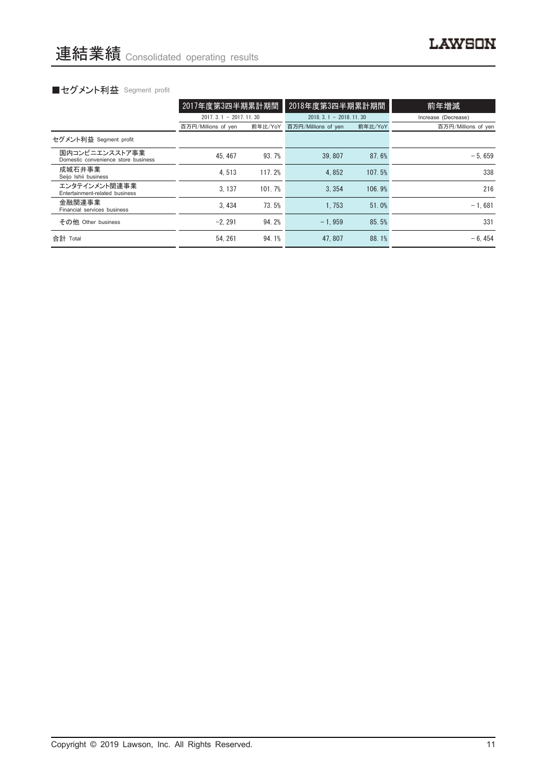# ■セグメント利益 Segment profit

|                                                       | 2017年度第3四半期累計期間         |         | 2018年度第3四半期累計期間         |         | 前年増減                |
|-------------------------------------------------------|-------------------------|---------|-------------------------|---------|---------------------|
|                                                       | $2017.3.1 - 2017.11.30$ |         | $2018.3.1 - 2018.11.30$ |         | Increase (Decrease) |
|                                                       | 百万円/Millions of yen     | 前年比/YoY | 百万円/Millions of yen     | 前年比/YoY | 百万円/Millions of yen |
| セグメント利益 Segment profit                                |                         |         |                         |         |                     |
| 国内コンビニエンスストア事業<br>Domestic convenience store business | 45.467                  | 93.7%   | 39.807                  | 87.6%   | $-5.659$            |
| 成城石井事業<br>Seijo Ishii business                        | 4.513                   | 117.2%  | 4.852                   | 107.5%  | 338                 |
| エンタテインメント関連事業<br>Entertainment-related business       | 3.137                   | 101.7%  | 3.354                   | 106.9%  | 216                 |
| 金融関連事業<br>Financial services business                 | 3.434                   | 73.5%   | 1.753                   | 51.0%   | $-1.681$            |
| その他 Other business                                    | $-2.291$                | 94.2%   | $-1.959$                | 85.5%   | 331                 |
| 合計 Total                                              | 54.261                  | 94.1%   | 47.807                  | 88.1%   | $-6.454$            |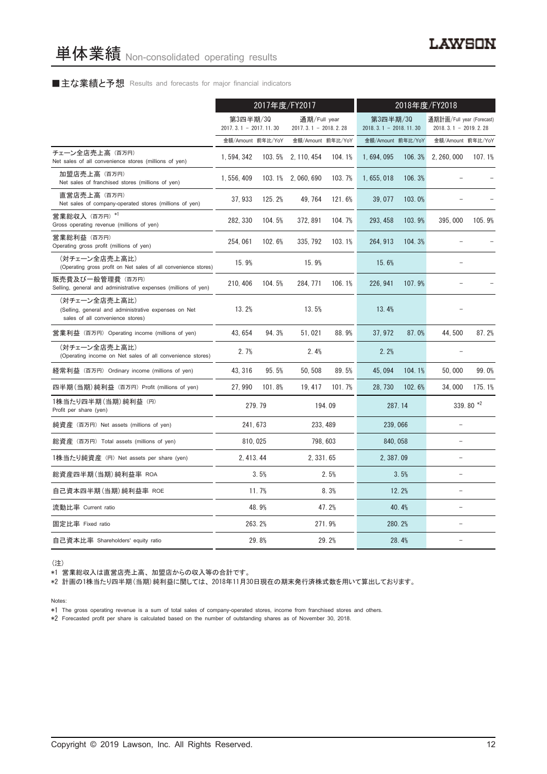#### ■主な業績と予想 Results and forecasts for major financial indicators

|                                                                                                           | 2017年度/FY2017                         |        |                                          |          | 2018年度/FY2018                           |        |                                                     |        |
|-----------------------------------------------------------------------------------------------------------|---------------------------------------|--------|------------------------------------------|----------|-----------------------------------------|--------|-----------------------------------------------------|--------|
|                                                                                                           | 第3四半期/30<br>2017. 3. 1 - 2017. 11. 30 |        | 通期/Full year<br>2017. 3. 1 - 2018. 2. 28 |          | 第3四半期/30<br>$2018, 3, 1 - 2018, 11, 30$ |        | 通期計画/Full year (Forecast)<br>$2018.3.1 - 2019.2.28$ |        |
|                                                                                                           | 金額/Amount 前年比/YoY                     |        | 金額/Amount 前年比/YoY                        |          | 金額/Amount 前年比/YoY                       |        | 金額/Amount 前年比/YoY                                   |        |
| チェーン全店売上高(百万円)<br>Net sales of all convenience stores (millions of yen)                                   | 1, 594, 342                           | 103.5% | 2, 110, 454                              | 104.1%   | 1,694,095                               | 106.3% | 2, 260, 000                                         | 107.1% |
| 加盟店売上高 (百万円)<br>Net sales of franchised stores (millions of yen)                                          | 1, 556, 409                           |        | 103.1% 2,060,690                         | 103.7%   | 1, 655, 018                             | 106.3% |                                                     |        |
| 直営店売上高(百万円)<br>Net sales of company-operated stores (millions of yen)                                     | 37, 933                               | 125.2% | 49, 764                                  | 121.6%   | 39,077                                  | 103.0% |                                                     |        |
| 営業総収入 (百万円) *1<br>Gross operating revenue (millions of yen)                                               | 282, 330                              | 104.5% | 372, 891                                 | 104.7%   | 293, 458                                | 103.9% | 395,000                                             | 105.9% |
| 営業総利益 (百万円)<br>Operating gross profit (millions of yen)                                                   | 254, 061                              | 102.6% | 335, 792                                 | 103.1%   | 264, 913                                | 104.3% |                                                     |        |
| (対チェーン全店売上高比)<br>(Operating gross profit on Net sales of all convenience stores)                          | 15.9%                                 |        | 15.9%                                    |          | 15.6%                                   |        |                                                     |        |
| 販売費及び一般管理費 (百万円)<br>Selling, general and administrative expenses (millions of yen)                        | 210, 406                              | 104.5% | 284, 771                                 | 106.1%   | 226, 941                                | 107.9% |                                                     |        |
| (対チェーン全店売上高比)<br>(Selling, general and administrative expenses on Net<br>sales of all convenience stores) | 13.2%                                 |        | 13.5%                                    |          | 13.4%                                   |        |                                                     |        |
| 営業利益 (百万円) Operating income (millions of yen)                                                             | 43.654                                | 94.3%  | 51.021                                   | 88.9%    | 37.972                                  | 87.0%  | 44.500                                              | 87.2%  |
| (対チェーン全店売上高比)<br>(Operating income on Net sales of all convenience stores)                                | 2.7%                                  |        | 2.4%                                     |          | 2.2%                                    |        |                                                     |        |
| 経常利益 (百万円) Ordinary income (millions of yen)                                                              | 43, 316                               | 95.5%  | 50, 508                                  | 89.5%    | 45,094                                  | 104.1% | 50.000                                              | 99.0%  |
| 四半期(当期)純利益 (百万円) Profit (millions of yen)                                                                 | 27.990                                | 101.8% | 19, 417                                  | 101.7%   | 28.730                                  | 102.6% | 34,000                                              | 175.1% |
| 1株当たり四半期 (当期) 純利益 (円)<br>Profit per share (yen)                                                           |                                       | 279.79 |                                          | 194.09   |                                         | 287.14 | 339.80 $*2$                                         |        |
| 純資産 (百万円) Net assets (millions of yen)                                                                    | 241, 673                              |        |                                          | 233, 489 | 239,066                                 |        | $\overline{\phantom{a}}$                            |        |
| 総資産 (百万円) Total assets (millions of yen)                                                                  | 810, 025                              |        |                                          | 798, 603 | 840, 058                                |        | ۳                                                   |        |
| 1株当たり純資産 (円) Net assets per share (yen)                                                                   | 2.413.44                              |        | 2.331.65                                 |          | 2.387.09                                |        | $\equiv$                                            |        |
| 総資産四半期(当期)純利益率 ROA                                                                                        |                                       | 3.5%   |                                          | 2.5%     |                                         | 3.5%   | $\equiv$                                            |        |
| 自己資本四半期(当期)純利益率 ROE                                                                                       |                                       | 11.7%  |                                          | 8.3%     |                                         | 12.2%  | $\qquad \qquad -$                                   |        |
| 流動比率 Current ratio                                                                                        |                                       | 48.9%  |                                          | 47.2%    |                                         | 40.4%  | $\equiv$                                            |        |
| 固定比率 Fixed ratio                                                                                          |                                       | 263.2% |                                          | 271.9%   |                                         | 280.2% | $\equiv$                                            |        |
| 自己資本比率 Shareholders' equity ratio                                                                         |                                       | 29.8%  |                                          | 29.2%    | 28.4%                                   |        | $\equiv$                                            |        |

(注)

\*1 営業総収入は直営店売上高、加盟店からの収入等の合計です。

\*2 計画の1株当たり四半期(当期)純利益に関しては、2018年11月30日現在の期末発行済株式数を用いて算出しております。

Notes:

\*1 The gross operating revenue is a sum of total sales of company-operated stores, income from franchised stores and others.

\*2 Forecasted profit per share is calculated based on the number of outstanding shares as of November 30, 2018.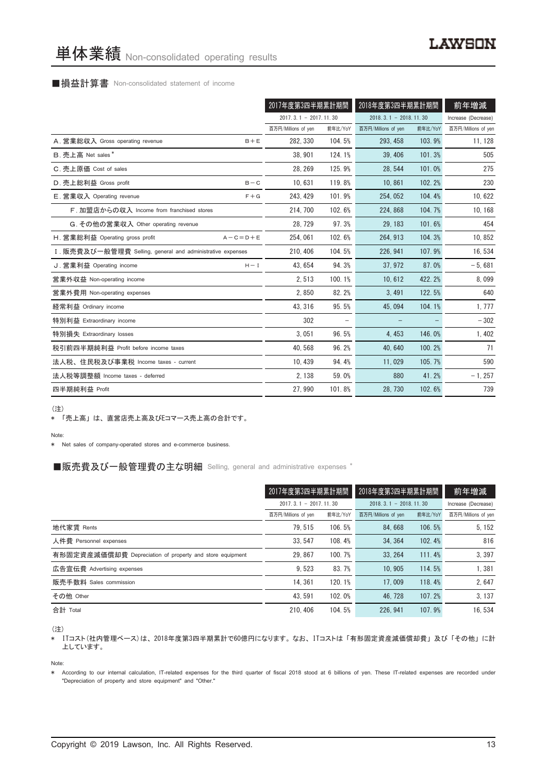#### ■損益計算書 Non-consolidated statement of income

|                                                            |                         | 2017年度第3四半期累計期間 |                         | 2018年度第3四半期累計期間 |                     |  |
|------------------------------------------------------------|-------------------------|-----------------|-------------------------|-----------------|---------------------|--|
|                                                            | $2017.3.1 - 2017.11.30$ |                 | $2018.3.1 - 2018.11.30$ |                 | Increase (Decrease) |  |
|                                                            | 百万円/Millions of yen     | 前年比/YoY         | 百万円/Millions of yen     | 前年比/YoY         | 百万円/Millions of yen |  |
| A. 営業総収入 Gross operating revenue<br>$B + E$                | 282, 330                | 104.5%          | 293, 458                | 103.9%          | 11, 128             |  |
| B. 売上高 Net sales*                                          | 38, 901                 | 124.1%          | 39.406                  | 101.3%          | 505                 |  |
| C. 売上原価 Cost of sales                                      | 28, 269                 | 125.9%          | 28.544                  | 101.0%          | 275                 |  |
| D. 売上総利益 Gross profit<br>$B - C$                           | 10,631                  | 119.8%          | 10,861                  | 102.2%          | 230                 |  |
| E. 営業収入 Operating revenue<br>$F + G$                       | 243, 429                | 101.9%          | 254, 052                | 104.4%          | 10,622              |  |
| F. 加盟店からの収入 Income from franchised stores                  | 214, 700                | 102.6%          | 224, 868                | 104.7%          | 10, 168             |  |
| G. その他の営業収入 Other operating revenue                        | 28, 729                 | 97.3%           | 29, 183                 | 101.6%          | 454                 |  |
| H. 営業総利益 Operating gross profit<br>$A - C = D + E$         | 254.061                 | 102.6%          | 264, 913                | 104.3%          | 10, 852             |  |
| I. 販売費及び一般管理費 Selling, general and administrative expenses | 210.406                 | 104.5%          | 226, 941                | 107.9%          | 16, 534             |  |
| J. 営業利益 Operating income<br>$H - I$                        | 43.654                  | 94.3%           | 37.972                  | 87.0%           | $-5,681$            |  |
| 営業外収益 Non-operating income                                 | 2,513                   | 100.1%          | 10,612                  | 422.2%          | 8,099               |  |
| 営業外費用 Non-operating expenses                               | 2,850                   | 82.2%           | 3,491                   | 122.5%          | 640                 |  |
| 経常利益 Ordinary income                                       | 43.316                  | 95.5%           | 45.094                  | 104.1%          | 1, 777              |  |
| 特別利益 Extraordinary income                                  | 302                     |                 |                         |                 | $-302$              |  |
| 特別損失 Extraordinary losses                                  | 3,051                   | 96.5%           | 4,453                   | 146.0%          | 1,402               |  |
| 税引前四半期純利益 Profit before income taxes                       | 40,568                  | 96.2%           | 40.640                  | 100.2%          | 71                  |  |
| 法人税、住民税及び事業税 Income taxes - current                        | 10.439                  | 94.4%           | 11,029                  | 105.7%          | 590                 |  |
| 法人税等調整額 Income taxes - deferred                            | 2, 138                  | 59.0%           | 880                     | 41.2%           | $-1, 257$           |  |
| 四半期純利益 Profit                                              | 27,990                  | 101.8%          | 28, 730                 | 102.6%          | 739                 |  |

(注)

\* 「売上高」は、直営店売上高及びEコマース売上高の合計です。

#### Note:

\* Net sales of company-operated stores and e-commerce business.

#### ■販売費及び一般管理費の主な明細 Selling, general and administrative expenses \*

|                                                          | 2017年度第3四半期累計期間<br>2018年度第3四半期累計期間 |         |                         | 前年増減                |                     |
|----------------------------------------------------------|------------------------------------|---------|-------------------------|---------------------|---------------------|
|                                                          | $2017.3.1 - 2017.11.30$            |         | $2018.3.1 - 2018.11.30$ | Increase (Decrease) |                     |
|                                                          | 百万円/Millions of yen                | 前年比/YoY | 百万円/Millions of yen     | 前年比/YoY             | 百万円/Millions of yen |
| 地代家賃 Rents                                               | 79.515                             | 106.5%  | 84.668                  | 106.5%              | 5, 152              |
| 人件費 Personnel expenses                                   | 33.547                             | 108.4%  | 34.364                  | 102.4%              | 816                 |
| 有形固定資産減価償却費 Depreciation of property and store equipment | 29.867                             | 100.7%  | 33.264                  | 111.4%              | 3,397               |
| 広告宣伝費 Advertising expenses                               | 9.523                              | 83.7%   | 10.905                  | 114.5%              | 1,381               |
| 販売手数料 Sales commission                                   | 14.361                             | 120.1%  | 17.009                  | 118.4%              | 2.647               |
| その他 Other                                                | 43.591                             | 102.0%  | 46.728                  | 107.2%              | 3.137               |
| 合計 Total                                                 | 210.406                            | 104.5%  | 226, 941                | 107.9%              | 16.534              |

(注)

\* ITコスト(社内管理ベース)は、2018年度第3四半期累計で60億円になります。なお、ITコストは「有形固定資産減価償却費」及び「その他」に計 上しています。

Note:

\* According to our internal calculation, IT-related expenses for the third quarter of fiscal 2018 stood at 6 billions of yen. These IT-related expenses are recorded under "Depreciation of property and store equipment" and "Other."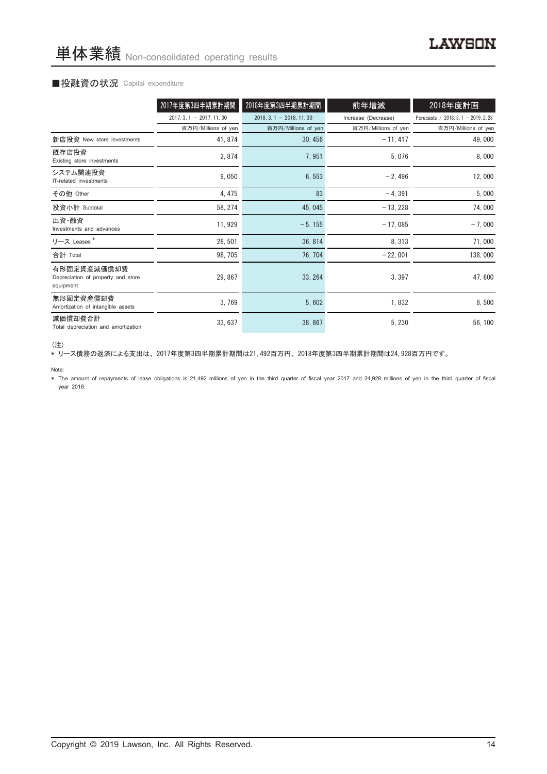#### ■投融資の状況 Capital expenditure

|                                                                | 2017年度第3四半期累計期間         | 2018年度第3四半期累計期間         | 前年増減                | 2018年度計画                            |
|----------------------------------------------------------------|-------------------------|-------------------------|---------------------|-------------------------------------|
|                                                                | $2017.3.1 - 2017.11.30$ | $2018.3.1 - 2018.11.30$ | Increase (Decrease) | Forecasts / 2018. 3.1 - 2019. 2. 28 |
|                                                                | 百万円/Millions of yen     | 百万円/Millions of yen     | 百万円/Millions of yen | 百万円/Millions of yen                 |
| 新店投資 New store investments                                     | 41, 874                 | 30, 456                 | $-11, 417$          | 49,000                              |
| 既存店投資<br>Existing store investments                            | 2,874                   | 7,951                   | 5,076               | 8,000                               |
| システム関連投資<br>IT-related investments                             | 9,050                   | 6,553                   | $-2,496$            | 12,000                              |
| その他 Other                                                      | 4, 475                  | 83                      | $-4, 391$           | 5,000                               |
| 投資小計 Subtotal                                                  | 58, 274                 | 45, 045                 | $-13,228$           | 74,000                              |
| 出資·融資<br>Investments and advances                              | 11, 929                 | $-5, 155$               | $-17,085$           | $-7,000$                            |
| リース Leases*                                                    | 28, 501                 | 36, 814                 | 8, 313              | 71,000                              |
| 合計 Total                                                       | 98, 705                 | 76, 704                 | $-22,001$           | 138,000                             |
| 有形固定資産減価償却費<br>Depreciation of property and store<br>equipment | 29, 867                 | 33, 264                 | 3, 397              | 47,600                              |
| 無形固定資産償却費<br>Amortization of intangible assets                 | 3,769                   | 5,602                   | 1,832               | 8,500                               |
| 減価償却費合計<br>Total depreciation and amortization                 | 33, 637                 | 38, 867                 | 5, 230              | 56, 100                             |

<sup>(</sup>注)

\* リース債務の返済による支出は、2017年度第3四半期累計期間は21,492百万円、2018年度第3四半期累計期間は24,928百万円です。

Note:

\* The amount of repayments of lease obligations is 21,492 millions of yen in the third quarter of fiscal year 2017 and 24,928 millions of yen in the third quarter of fiscal year 2018.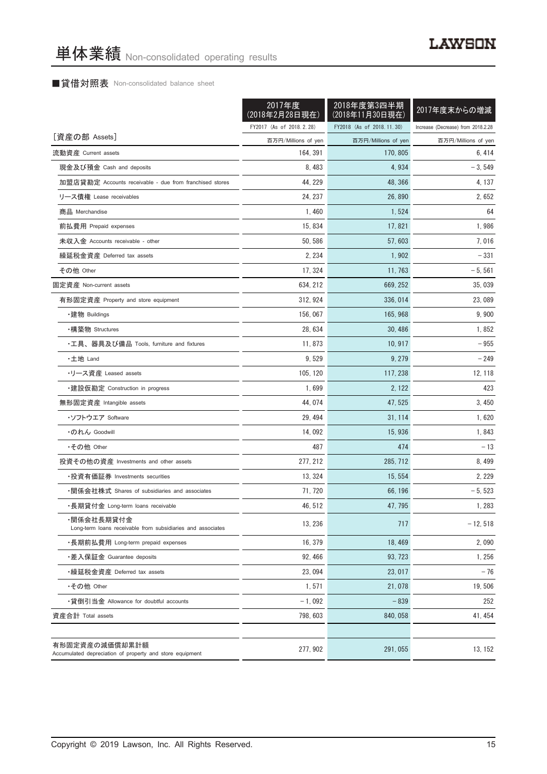#### ■貸借対照表 Non-consolidated balance sheet

|                                                                            | 2017年度<br>(2018年2月28日現在) | 2018年度第3四半期<br>(2018年11月30日現在) | 2017年度末からの増減                       |
|----------------------------------------------------------------------------|--------------------------|--------------------------------|------------------------------------|
|                                                                            | FY2017 (As of 2018.2.28) | FY2018 (As of 2018.11.30)      | Increase (Decrease) from 2018.2.28 |
| [資産の部 Assets]                                                              | 百万円/Millions of yen      | 百万円/Millions of yen            | 百万円/Millions of yen                |
| 流動資産 Current assets                                                        | 164, 391                 | 170, 805                       | 6,414                              |
| 現金及び預金 Cash and deposits                                                   | 8,483                    | 4,934                          | $-3,549$                           |
| 加盟店貸勘定 Accounts receivable - due from franchised stores                    | 44, 229                  | 48, 366                        | 4, 137                             |
| リース債権 Lease receivables                                                    | 24, 237                  | 26,890                         | 2,652                              |
| 商品 Merchandise                                                             | 1,460                    | 1,524                          | 64                                 |
| 前払費用 Prepaid expenses                                                      | 15, 834                  | 17, 821                        | 1,986                              |
| 未収入金 Accounts receivable - other                                           | 50, 586                  | 57, 603                        | 7,016                              |
| 繰延税金資産 Deferred tax assets                                                 | 2, 234                   | 1,902                          | $-331$                             |
| その他 Other                                                                  | 17, 324                  | 11, 763                        | $-5,561$                           |
| 固定資産 Non-current assets                                                    | 634, 212                 | 669, 252                       | 35,039                             |
| 有形固定資産 Property and store equipment                                        | 312, 924                 | 336, 014                       | 23,089                             |
| ・建物 Buildings                                                              | 156, 067                 | 165.968                        | 9,900                              |
| ・構築物 Structures                                                            | 28,634                   | 30, 486                        | 1,852                              |
| ・工具、器具及び備品 Tools, furniture and fixtures                                   | 11,873                   | 10, 917                        | $-955$                             |
| ・土地 Land                                                                   | 9,529                    | 9, 279                         | $-249$                             |
| ・リース資産 Leased assets                                                       | 105, 120                 | 117, 238                       | 12, 118                            |
| ・建設仮勘定 Construction in progress                                            | 1,699                    | 2, 122                         | 423                                |
| 無形固定資産 Intangible assets                                                   | 44, 074                  | 47, 525                        | 3, 450                             |
| ・ソフトウエア Software                                                           | 29, 494                  | 31, 114                        | 1,620                              |
| ・のれん Goodwill                                                              | 14,092                   | 15,936                         | 1,843                              |
| •その他 Other                                                                 | 487                      | 474                            | $-13$                              |
| 投資その他の資産 Investments and other assets                                      | 277, 212                 | 285, 712                       | 8, 499                             |
| ・投資有価証券 Investments securities                                             | 13, 324                  | 15, 554                        | 2, 229                             |
| ・関係会社株式 Shares of subsidiaries and associates                              | 71, 720                  | 66, 196                        | $-5,523$                           |
| ・長期貸付金 Long-term loans receivable                                          | 46, 512                  | 47, 795                        | 1,283                              |
| ·関係会社長期貸付金<br>Long-term loans receivable from subsidiaries and associates  | 13, 236                  | 717                            | $-12, 518$                         |
| ・長期前払費用 Long-term prepaid expenses                                         | 16.379                   | 18,469                         | 2,090                              |
| ・差入保証金 Guarantee deposits                                                  | 92, 466                  | 93.723                         | 1, 256                             |
| ・繰延税金資産 Deferred tax assets                                                | 23,094                   | 23, 017                        | $-76$                              |
| •その他 Other                                                                 | 1,571                    | 21,078                         | 19,506                             |
| •貸倒引当金 Allowance for doubtful accounts                                     | $-1,092$                 | $-839$                         | 252                                |
| 資産合計 Total assets                                                          | 798, 603                 | 840, 058                       | 41, 454                            |
| 有形固定資産の減価償却累計額<br>Accumulated depreciation of property and store equipment | 277, 902                 | 291,055                        | 13, 152                            |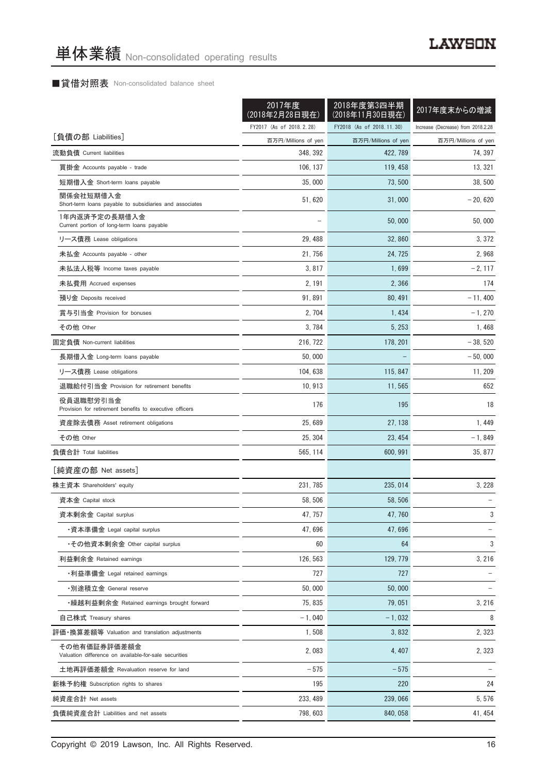#### ■貸借対照表 Non-consolidated balance sheet

|                                                                       | 2017年度<br>(2018年2月28日現在) | 2018年度第3四半期<br>(2018年11月30日現在) | 2017年度末からの増減                       |
|-----------------------------------------------------------------------|--------------------------|--------------------------------|------------------------------------|
|                                                                       | FY2017 (As of 2018.2.28) | FY2018 (As of 2018.11.30)      | Increase (Decrease) from 2018.2.28 |
| [負債の部 Liabilities]                                                    | 百万円/Millions of yen      | 百万円/Millions of yen            | 百万円/Millions of yen                |
| 流動負債 Current liabilities                                              | 348, 392                 | 422, 789                       | 74, 397                            |
| 買掛金 Accounts payable - trade                                          | 106, 137                 | 119, 458                       | 13, 321                            |
| 短期借入金 Short-term loans payable                                        | 35,000                   | 73, 500                        | 38,500                             |
| 関係会社短期借入金<br>Short-term loans payable to subsidiaries and associates  | 51, 620                  | 31,000                         | $-20,620$                          |
| 1年内返済予定の長期借入金<br>Current portion of long-term loans payable           |                          | 50,000                         | 50,000                             |
| リース債務 Lease obligations                                               | 29, 488                  | 32,860                         | 3, 372                             |
| 未払金 Accounts payable - other                                          | 21, 756                  | 24, 725                        | 2,968                              |
| 未払法人税等 Income taxes payable                                           | 3,817                    | 1,699                          | $-2, 117$                          |
| 未払費用 Accrued expenses                                                 | 2, 191                   | 2,366                          | 174                                |
| 預り金 Deposits received                                                 | 91,891                   | 80, 491                        | $-11,400$                          |
| 賞与引当金 Provision for bonuses                                           | 2, 704                   | 1,434                          | $-1,270$                           |
| その他 Other                                                             | 3, 784                   | 5, 253                         | 1,468                              |
| 固定負債 Non-current liabilities                                          | 216, 722                 | 178, 201                       | $-38,520$                          |
| 長期借入金 Long-term loans payable                                         | 50.000                   |                                | $-50,000$                          |
| リース債務 Lease obligations                                               | 104, 638                 | 115, 847                       | 11, 209                            |
| 退職給付引当金 Provision for retirement benefits                             | 10, 913                  | 11,565                         | 652                                |
| 役員退職慰労引当金<br>Provision for retirement benefits to executive officers  | 176                      | 195                            | 18                                 |
| 資産除去債務 Asset retirement obligations                                   | 25,689                   | 27, 138                        | 1, 449                             |
| その他 Other                                                             | 25, 304                  | 23, 454                        | $-1,849$                           |
| 負債合計 Total liabilities                                                | 565, 114                 | 600, 991                       | 35, 877                            |
|                                                                       |                          |                                |                                    |
| [純資産の部 Net assets]                                                    |                          |                                |                                    |
| 株主資本 Shareholders' equity                                             | 231, 785                 | 235, 014                       | 3, 228                             |
| 資本金 Capital stock                                                     | 58, 506                  | 58, 506                        |                                    |
| 資本剰余金 Capital surplus                                                 | 47, 757                  | 47,760                         | 3                                  |
| ・資本準備金 Legal capital surplus                                          | 47,696                   | 47,696                         |                                    |
| ・その他資本剰余金 Other capital surplus                                       | 60                       | 64                             | 3                                  |
| 利益剰余金 Retained earnings                                               | 126, 563                 | 129, 779                       | 3, 216                             |
| ・利益準備金 Legal retained earnings                                        | 727                      | 727                            |                                    |
| ・別途積立金 General reserve                                                | 50,000                   | 50,000                         |                                    |
| •繰越利益剰余金 Retained earnings brought forward                            | 75, 835                  | 79.051                         | 3, 216                             |
| 自己株式 Treasury shares                                                  | $-1,040$                 | $-1,032$                       | 8                                  |
| 評価・換算差額等 Valuation and translation adjustments                        | 1,508                    | 3,832                          | 2,323                              |
| その他有価証券評価差額金<br>Valuation difference on available-for-sale securities | 2,083                    | 4,407                          | 2,323                              |
| 土地再評価差額金 Revaluation reserve for land                                 | $-575$                   | $-575$                         |                                    |
| 新株予約権 Subscription rights to shares                                   | 195                      | 220                            | 24                                 |
| 純資産合計 Net assets                                                      | 233, 489                 | 239,066                        | 5,576                              |
| 負債純資産合計 Liabilities and net assets                                    | 798, 603                 | 840, 058                       | 41, 454                            |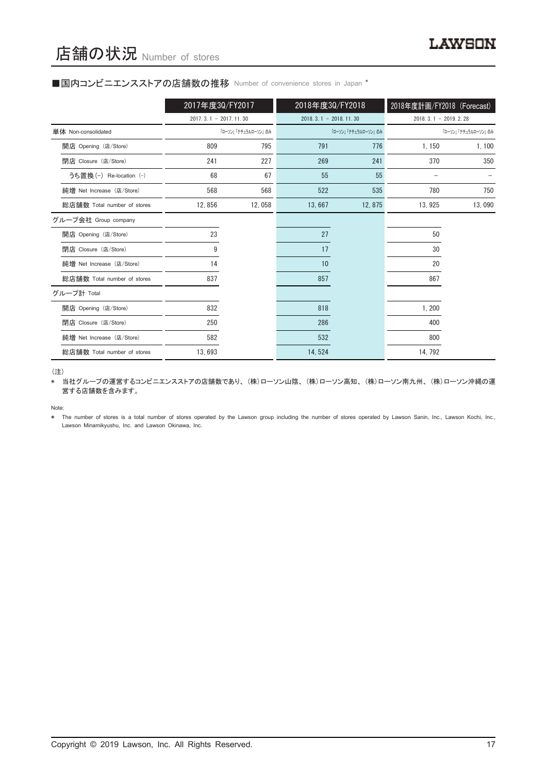#### ■国内コンビニエンスストアの店舗数の推移 Number of convenience stores in Japan \*

|                             | 2017年度30/FY2017         |                     | 2018年度30/FY2018         |                     | 2018年度計画/FY2018 (Forecast) |                     |
|-----------------------------|-------------------------|---------------------|-------------------------|---------------------|----------------------------|---------------------|
|                             | $2017.3.1 - 2017.11.30$ |                     | $2018.3.1 - 2018.11.30$ |                     | $2018, 3, 1 - 2019, 2, 28$ |                     |
| 単体 Non-consolidated         |                         | 「ローソン」「ナチュラルローソン」のみ |                         | 「ローソン」「ナチュラルローソン」のみ |                            | 「ローソン」「ナチュラルローソン」のみ |
| 開店 Opening (店/Store)        | 809                     | 795                 | 791                     | 776                 | 1,150                      | 1,100               |
| 閉店 Closure (店/Store)        | 241                     | 227                 | 269                     | 241                 | 370                        | 350                 |
| うち置換 (-) Re-location (-)    | 68                      | 67                  | 55                      | 55                  |                            |                     |
| 純増 Net Increase (店/Store)   | 568                     | 568                 | 522                     | 535                 | 780                        | 750                 |
| 総店舗数 Total number of stores | 12,856                  | 12,058              | 13,667                  | 12,875              | 13, 925                    | 13,090              |
| グループ会社 Group company        |                         |                     |                         |                     |                            |                     |
| 開店 Opening (店/Store)        | 23                      |                     | 27                      |                     | 50                         |                     |
| 閉店 Closure (店/Store)        | 9                       |                     | 17                      |                     | 30                         |                     |
| 純増 Net Increase (店/Store)   | 14                      |                     | 10                      |                     | 20                         |                     |
| 総店舗数 Total number of stores | 837                     |                     | 857                     |                     | 867                        |                     |
| グループ計 Total                 |                         |                     |                         |                     |                            |                     |
| 開店 Opening (店/Store)        | 832                     |                     | 818                     |                     | 1,200                      |                     |
| 閉店 Closure (店/Store)        | 250                     |                     | 286                     |                     | 400                        |                     |
| 純増 Net Increase (店/Store)   | 582                     |                     | 532                     |                     | 800                        |                     |
| 総店舗数 Total number of stores | 13,693                  |                     | 14,524                  |                     | 14, 792                    |                     |

(注)

\* 当社グループの運営するコンビニエンスストアの店舗数であり、(株)ローソン山陰、(株)ローソン高知、(株)ローソン南九州、(株)ローソン沖縄の運 営する店舗数を含みます。

Note:

\* The number of stores is a total number of stores operated by the Lawson group including the number of stores operated by Lawson Sanin, Inc., Lawson Kochi, Inc., Lawson Minamikyushu, Inc. and Lawson Okinawa, Inc.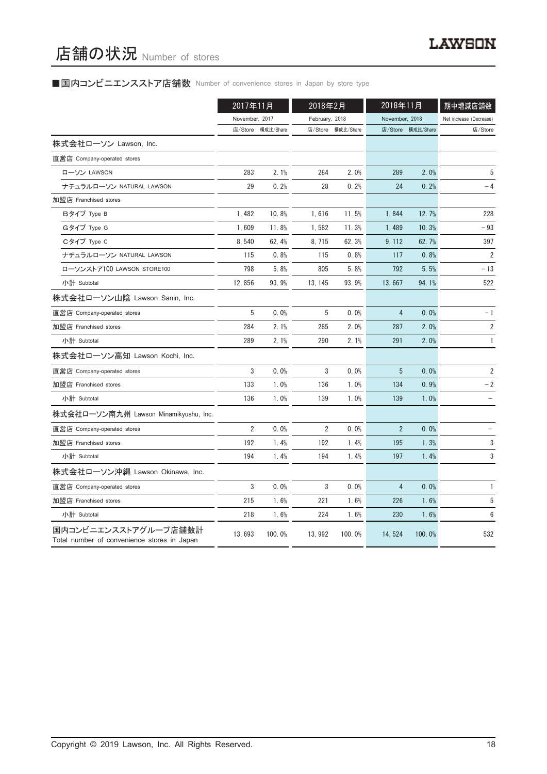### ■国内コンビニエンスストア店舗数 Number of convenience stores in Japan by store type

|                                                                     | 2017年11月       |           | 2018年2月        |                   | 2018年11月       |                   | 期中増減店舗数                 |
|---------------------------------------------------------------------|----------------|-----------|----------------|-------------------|----------------|-------------------|-------------------------|
|                                                                     | November, 2017 |           | February, 2018 |                   | November, 2018 |                   | Net increase (Decrease) |
|                                                                     | 店/Store        | 構成比/Share |                | 店/Store 構成比/Share |                | 店/Store 構成比/Share | 店/Store                 |
| 株式会社ローソン Lawson, Inc.                                               |                |           |                |                   |                |                   |                         |
| 直営店 Company-operated stores                                         |                |           |                |                   |                |                   |                         |
| ローソン LAWSON                                                         | 283            | 2.1%      | 284            | 2.0%              | 289            | 2.0%              | 5                       |
| ナチュラルローソン NATURAL LAWSON                                            | 29             | 0.2%      | 28             | 0.2%              | 24             | 0.2%              | $-4$                    |
| 加盟店 Franchised stores                                               |                |           |                |                   |                |                   |                         |
| Bタイプ Type B                                                         | 1,482          | 10.8%     | 1,616          | 11.5%             | 1,844          | 12.7%             | 228                     |
| Gタイプ Type G                                                         | 1,609          | 11.8%     | 1,582          | 11.3%             | 1,489          | 10.3%             | $-93$                   |
| Cタイプ Type C                                                         | 8,540          | 62.4%     | 8, 715         | 62.3%             | 9, 112         | 62.7%             | 397                     |
| ナチュラルローソン NATURAL LAWSON                                            | 115            | 0.8%      | 115            | 0.8%              | 117            | 0.8%              | $\overline{2}$          |
| ローソンストア100 LAWSON STORE100                                          | 798            | 5.8%      | 805            | 5.8%              | 792            | 5.5%              | - 13                    |
| 小計 Subtotal                                                         | 12,856         | 93.9%     | 13, 145        | 93.9%             | 13,667         | 94.1%             | 522                     |
| 株式会社ローソン山陰 Lawson Sanin, Inc.                                       |                |           |                |                   |                |                   |                         |
| 直営店 Company-operated stores                                         | 5              | 0.0%      | 5              | 0.0%              | 4              | 0.0%              | $-1$                    |
| 加盟店 Franchised stores                                               | 284            | 2.1%      | 285            | 2.0%              | 287            | 2.0%              | $\sqrt{2}$              |
| 小計 Subtotal                                                         | 289            | 2.1%      | 290            | 2.1%              | 291            | 2.0%              | $\mathbf{1}$            |
| 株式会社ローソン高知 Lawson Kochi, Inc.                                       |                |           |                |                   |                |                   |                         |
| 直営店 Company-operated stores                                         | 3              | 0.0%      | 3              | 0.0%              | 5              | 0.0%              | $\overline{2}$          |
| 加盟店 Franchised stores                                               | 133            | 1.0%      | 136            | 1.0%              | 134            | 0.9%              | $-2$                    |
| 小計 Subtotal                                                         | 136            | 1.0%      | 139            | 1.0%              | 139            | 1.0%              |                         |
| 株式会社ローソン南九州 Lawson Minamikyushu, Inc.                               |                |           |                |                   |                |                   |                         |
| 直営店 Company-operated stores                                         | $\overline{2}$ | 0.0%      | $\overline{2}$ | 0.0%              | $\overline{2}$ | 0.0%              |                         |
| 加盟店 Franchised stores                                               | 192            | 1.4%      | 192            | 1.4%              | 195            | 1.3%              | 3                       |
| 小計 Subtotal                                                         | 194            | 1.4%      | 194            | 1.4%              | 197            | 1.4%              | 3                       |
| 株式会社ローソン沖縄 Lawson Okinawa, Inc.                                     |                |           |                |                   |                |                   |                         |
| 直営店 Company-operated stores                                         | 3              | 0.0%      | 3              | 0.0%              | 4              | 0.0%              | 1                       |
| 加盟店 Franchised stores                                               | 215            | 1.6%      | 221            | 1.6%              | 226            | 1.6%              | 5                       |
| 小計 Subtotal                                                         | 218            | 1.6%      | 224            | 1.6%              | 230            | 1.6%              | 6                       |
| 国内コンビニエンスストアグループ店舗数計<br>Total number of convenience stores in Japan | 13,693         | 100.0%    | 13, 992        | 100.0%            | 14, 524        | 100.0%            | 532                     |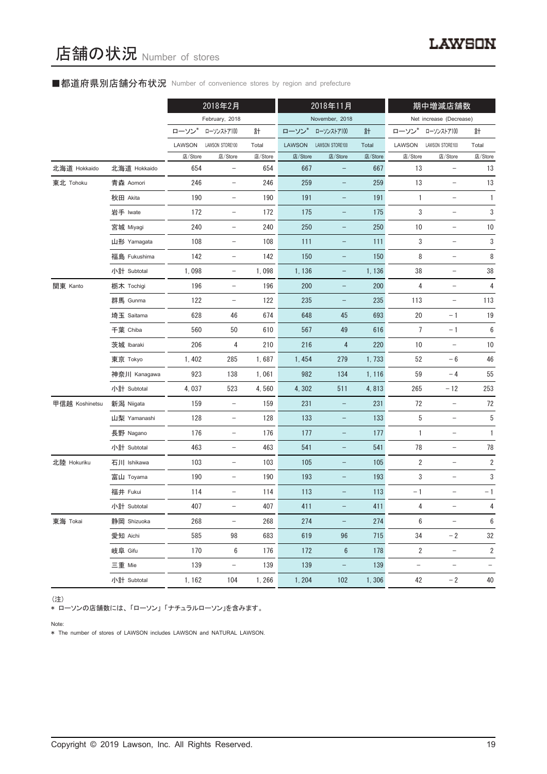#### ■都道府県別店舗分布状況 Number of convenience stores by region and prefecture

|                |              |         | 2018年2月                  |         | 2018年11月      |                          | 期中増減店舗数 |                          |                          |                          |
|----------------|--------------|---------|--------------------------|---------|---------------|--------------------------|---------|--------------------------|--------------------------|--------------------------|
|                |              |         | February, 2018           |         |               | November, 2018           |         |                          | Net increase (Decrease)  |                          |
|                |              | ローソン    | ローソンストア100               | 計       | ローソン*         | ローソンストア100               | 計       | ローソン                     | ローソンストア100               | 計                        |
|                |              | LAWSON  | LAWSON STORE100          | Total   | <b>LAWSON</b> | LAWSON STORE100          | Total   | LAWSON                   | LAWSON STORE100          | Total                    |
|                |              | 店/Store | 店/Store                  | 店/Store | 店/Store       | 店/Store                  | 店/Store | 店/Store                  | 店/Store                  | 店/Store                  |
| 北海道 Hokkaido   | 北海道 Hokkaido | 654     | $\qquad \qquad -$        | 654     | 667           | $\overline{\phantom{0}}$ | 667     | 13                       | $\qquad \qquad -$        | 13                       |
| 東北 Tohoku      | 青森 Aomori    | 246     | $\qquad \qquad -$        | 246     | 259           |                          | 259     | 13                       | $\overline{\phantom{0}}$ | 13                       |
|                | 秋田 Akita     | 190     | -                        | 190     | 191           | -                        | 191     | $\mathbf{1}$             | $\overline{\phantom{a}}$ | 1                        |
|                | 岩手 Iwate     | 172     | $\qquad \qquad -$        | 172     | 175           | $\qquad \qquad -$        | 175     | 3                        | $\qquad \qquad -$        | 3                        |
|                | 宮城 Miyagi    | 240     | $\qquad \qquad -$        | 240     | 250           |                          | 250     | 10                       | $\overline{\phantom{0}}$ | $10$                     |
|                | 山形 Yamagata  | 108     | $\qquad \qquad -$        | 108     | 111           | -                        | 111     | 3                        | $\overline{\phantom{m}}$ | 3                        |
|                | 福島 Fukushima | 142     | $\qquad \qquad -$        | 142     | 150           | $\qquad \qquad -$        | 150     | 8                        | $\qquad \qquad -$        | 8                        |
|                | 小計 Subtotal  | 1,098   | $\overline{\phantom{0}}$ | 1,098   | 1,136         | -                        | 1,136   | 38                       | $\qquad \qquad -$        | $38\,$                   |
| 関東 Kanto       | 栃木 Tochigi   | 196     | $\qquad \qquad -$        | 196     | 200           | $\overline{\phantom{a}}$ | 200     | 4                        | $\overline{\phantom{a}}$ | 4                        |
|                | 群馬 Gunma     | 122     | $\qquad \qquad -$        | 122     | 235           | $\qquad \qquad -$        | 235     | 113                      | $\qquad \qquad -$        | 113                      |
|                | 埼玉 Saitama   | 628     | 46                       | 674     | 648           | 45                       | 693     | 20                       | $-1$                     | 19                       |
|                | 千葉 Chiba     | 560     | 50                       | 610     | 567           | 49                       | 616     | 7                        | $-1$                     | 6                        |
|                | 茨城 Ibaraki   | 206     | 4                        | 210     | 216           | $\overline{4}$           | 220     | $10$                     |                          | 10                       |
|                | 東京 Tokyo     | 1,402   | 285                      | 1,687   | 1,454         | 279                      | 1,733   | 52                       | $-6$                     | 46                       |
|                | 神奈川 Kanagawa | 923     | 138                      | 1,061   | 982           | 134                      | 1, 116  | 59                       | $-4$                     | 55                       |
|                | 小計 Subtotal  | 4,037   | 523                      | 4,560   | 4,302         | 511                      | 4,813   | 265                      | $-12$                    | 253                      |
| 甲信越 Koshinetsu | 新潟 Niigata   | 159     | $\overline{\phantom{0}}$ | 159     | 231           |                          | 231     | 72                       | $\overline{\phantom{a}}$ | 72                       |
|                | 山梨 Yamanashi | 128     | $\qquad \qquad -$        | 128     | 133           | -                        | 133     | 5                        | $\overline{\phantom{a}}$ | 5                        |
|                | 長野 Nagano    | 176     | $\qquad \qquad -$        | 176     | 177           | -                        | 177     | 1                        | $\qquad \qquad -$        | $\mathbf{1}$             |
|                | 小計 Subtotal  | 463     | $\overline{\phantom{0}}$ | 463     | 541           | -                        | 541     | 78                       | $\qquad \qquad -$        | 78                       |
| 北陸 Hokuriku    | 石川 Ishikawa  | 103     | $\qquad \qquad -$        | 103     | 105           | -                        | 105     | $\sqrt{2}$               | $\overline{\phantom{a}}$ | $\overline{\mathbf{c}}$  |
|                | 富山 Toyama    | 190     |                          | 190     | 193           | $\overline{\phantom{0}}$ | 193     | 3                        |                          | 3                        |
|                | 福井 Fukui     | 114     | -                        | 114     | 113           |                          | 113     | $-1$                     |                          | $-1$                     |
|                | 小計 Subtotal  | 407     | -                        | 407     | 411           |                          | 411     | 4                        | -                        | 4                        |
| 東海 Tokai       | 静岡 Shizuoka  | 268     | $\qquad \qquad -$        | 268     | 274           | $\qquad \qquad -$        | 274     | $\,6\,$                  | $\qquad \qquad -$        | $\boldsymbol{6}$         |
|                | 愛知 Aichi     | 585     | 98                       | 683     | 619           | 96                       | 715     | 34                       | $-2$                     | 32                       |
|                | 岐阜 Gifu      | 170     | 6                        | 176     | 172           | $6\phantom{1}6$          | 178     | 2                        | $\overline{\phantom{a}}$ | $\overline{\mathbf{c}}$  |
|                | 三重 Mie       | 139     | $\qquad \qquad -$        | 139     | 139           | -                        | 139     | $\overline{\phantom{0}}$ | $\overline{\phantom{a}}$ | $\overline{\phantom{0}}$ |
|                | 小計 Subtotal  | 1, 162  | 104                      | 1,266   | 1, 204        | 102                      | 1,306   | 42                       | $-2$                     | 40                       |

(注)

\* ローソンの店舗数には、「ローソン」「ナチュラルローソン」を含みます。

Note:

\* The number of stores of LAWSON includes LAWSON and NATURAL LAWSON.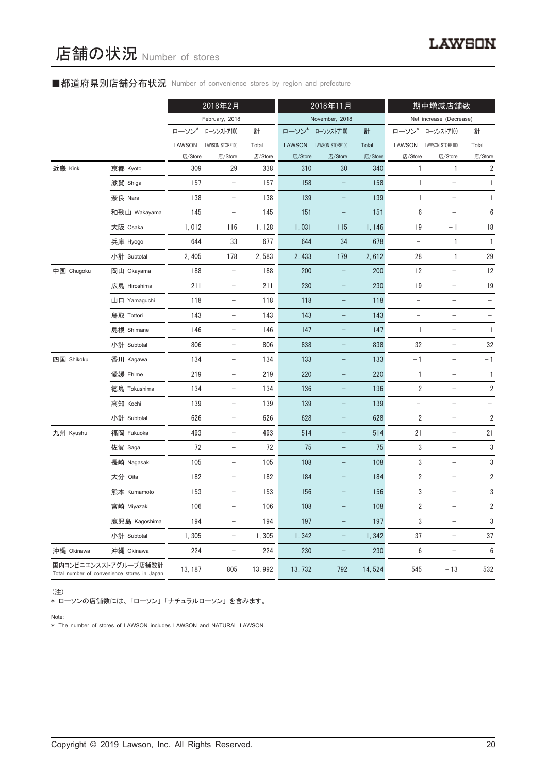#### ■都道府県別店舗分布状況 Number of convenience stores by region and prefecture

|            |                                                                     |         | 2018年2月                           |         | 2018年11月      |                          |         | 期中増減店舗数                  |                                   |                          |
|------------|---------------------------------------------------------------------|---------|-----------------------------------|---------|---------------|--------------------------|---------|--------------------------|-----------------------------------|--------------------------|
|            |                                                                     |         | February, 2018                    |         |               | November, 2018           |         |                          | Net increase (Decrease)           |                          |
|            |                                                                     | ローソン*   | ローソンストア100                        | 計       | ローソン*         | ローソンストア100               | 計       | ローソン                     | ローソンストア100                        | 計                        |
|            |                                                                     | LAWSON  | LAWSON STORE100                   | Total   | <b>LAWSON</b> | LAWSON STORE100          | Total   | LAWSON                   | LAWSON STORE100                   | Total                    |
|            |                                                                     | 店/Store | 店/Store                           | 店/Store | 店/Store       | 店/Store                  | 店/Store | 店/Store                  | 店/Store                           | 店/Store                  |
| 近畿 Kinki   | 京都 Kyoto                                                            | 309     | 29                                | 338     | 310           | 30                       | 340     | 1                        | 1                                 | $\sqrt{2}$               |
|            | 滋賀 Shiga                                                            | 157     | $\overline{\phantom{a}}$          | 157     | 158           | $\qquad \qquad -$        | 158     | 1                        | $\overline{\phantom{0}}$          | $\mathbf{1}$             |
|            | 奈良 Nara                                                             | 138     | $\overline{\phantom{0}}$          | 138     | 139           |                          | 139     | 1                        |                                   | $\mathbf{1}$             |
|            | 和歌山 Wakayama                                                        | 145     | $\overline{\phantom{a}}$          | 145     | 151           | -                        | 151     | 6                        |                                   | 6                        |
|            | 大阪 Osaka                                                            | 1,012   | 116                               | 1, 128  | 1,031         | 115                      | 1, 146  | 19                       | $-1$                              | 18                       |
|            | 兵庫 Hyogo                                                            | 644     | 33                                | 677     | 644           | 34                       | 678     | $\qquad \qquad -$        | 1                                 | 1                        |
|            | 小計 Subtotal                                                         | 2, 405  | 178                               | 2,583   | 2, 433        | 179                      | 2,612   | 28                       | $\mathbf{1}$                      | 29                       |
| 中国 Chugoku | 岡山 Okayama                                                          | 188     | $\qquad \qquad -$                 | 188     | 200           |                          | 200     | 12                       |                                   | 12                       |
|            | 広島 Hiroshima                                                        | 211     | $\overline{\phantom{a}}$          | 211     | 230           | -                        | 230     | 19                       | $\qquad \qquad -$                 | 19                       |
|            | 山口 Yamaguchi                                                        | 118     | $\qquad \qquad -$                 | 118     | 118           |                          | 118     | $\overline{\phantom{0}}$ | $\overline{\phantom{0}}$          |                          |
|            | 鳥取 Tottori                                                          | 143     | $\qquad \qquad -$                 | 143     | 143           |                          | 143     |                          | $\overline{\phantom{0}}$          |                          |
|            | 島根 Shimane                                                          | 146     | $\overline{\phantom{a}}$          | 146     | 147           | $\overline{\phantom{0}}$ | 147     | 1                        | $\overline{\phantom{0}}$          | 1                        |
|            | 小計 Subtotal                                                         | 806     | $\overline{\phantom{a}}$          | 806     | 838           |                          | 838     | 32                       | $\overline{\phantom{0}}$          | 32                       |
| 四国 Shikoku | 香川 Kagawa                                                           | 134     | $\overline{\phantom{a}}$          | 134     | 133           | $\overline{\phantom{0}}$ | 133     | $-1$                     | $\overline{a}$                    | $-1$                     |
|            | 愛媛 Ehime                                                            | 219     | $\overline{\phantom{0}}$          | 219     | 220           |                          | 220     | 1                        | $\qquad \qquad -$                 | $\mathbf{1}$             |
|            | 徳島 Tokushima                                                        | 134     | $\overline{\phantom{a}}$          | 134     | 136           | $\qquad \qquad -$        | 136     | 2                        | $\qquad \qquad -$                 | $\overline{\mathbf{2}}$  |
|            | 高知 Kochi                                                            | 139     | $\overline{\phantom{a}}$          | 139     | 139           |                          | 139     | $\qquad \qquad -$        | $\overline{\phantom{a}}$          | $\overline{\phantom{a}}$ |
|            | 小計 Subtotal                                                         | 626     | $\qquad \qquad -$                 | 626     | 628           |                          | 628     | $\overline{2}$           | $\overline{\phantom{0}}$          | $\sqrt{2}$               |
| 九州 Kyushu  | 福岡 Fukuoka                                                          | 493     | $\qquad \qquad -$                 | 493     | 514           | $\qquad \qquad -$        | 514     | 21                       | $\overline{\phantom{a}}$          | 21                       |
|            | 佐賀 Saga                                                             | 72      | $\overline{\phantom{a}}$          | 72      | 75            | $\overline{\phantom{0}}$ | 75      | 3                        | $\qquad \qquad -$                 | $\sqrt{3}$               |
|            | 長崎 Nagasaki                                                         | 105     | $\qquad \qquad -$                 | 105     | 108           |                          | 108     | 3                        |                                   | 3                        |
|            | 大分 Oita                                                             | 182     |                                   | 182     | 184           |                          | 184     | $\overline{2}$           |                                   | $\overline{2}$           |
|            | 熊本 Kumamoto                                                         | 153     | $\hspace{1.0cm} - \hspace{1.0cm}$ | 153     | 156           | -                        | 156     | 3                        | $\overline{\phantom{0}}$          | 3                        |
|            | 宮崎 Miyazaki                                                         | 106     | $\qquad \qquad -$                 | 106     | 108           |                          | 108     | $\overline{\mathbf{2}}$  | $\qquad \qquad -$                 | $\overline{\mathbf{c}}$  |
|            | 鹿児島 Kagoshima                                                       | 194     | $\qquad \qquad -$                 | 194     | 197           |                          | 197     | 3                        | $\overline{\phantom{0}}$          | 3                        |
|            | 小計 Subtotal                                                         | 1,305   | $\overline{\phantom{a}}$          | 1,305   | 1,342         | $\qquad \qquad -$        | 1,342   | 37                       | $\overline{\phantom{a}}$          | 37                       |
| 沖縄 Okinawa | 沖縄 Okinawa                                                          | 224     | $\overline{\phantom{a}}$          | 224     | 230           | $\overline{\phantom{0}}$ | 230     | 6                        | $\hspace{0.1in} - \hspace{0.1in}$ | $\boldsymbol{6}$         |
|            | 国内コンビニエンスストアグループ店舗数計<br>Total number of convenience stores in Japan | 13, 187 | 805                               | 13, 992 | 13, 732       | 792                      | 14, 524 | 545                      | $-13$                             | 532                      |

(注)

\* ローソンの店舗数には、「ローソン」「ナチュラルローソン」を含みます。

Note:

\* The number of stores of LAWSON includes LAWSON and NATURAL LAWSON.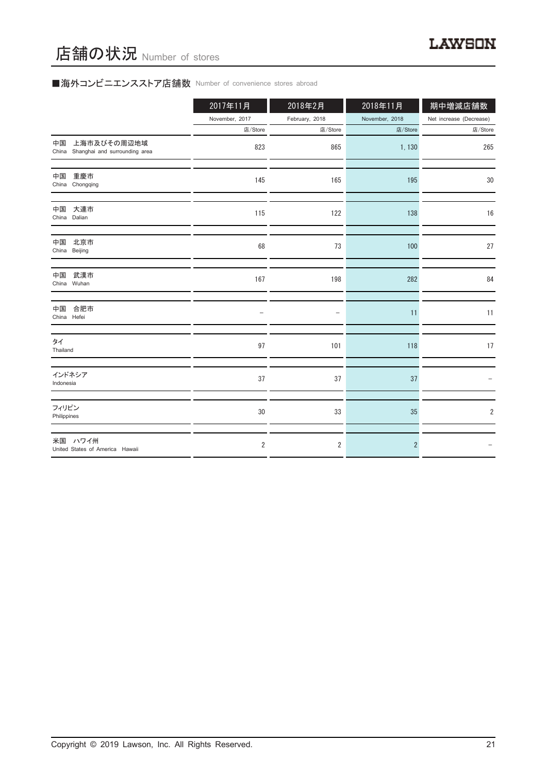# ■海外コンビニエンスストア店舗数 Number of convenience stores abroad

店舗の状況 Number of stores

|                                                          | 2017年11月       | 2018年2月        | 2018年11月       | 期中増減店舗数                 |
|----------------------------------------------------------|----------------|----------------|----------------|-------------------------|
|                                                          | November, 2017 | February, 2018 | November, 2018 | Net increase (Decrease) |
|                                                          | 店/Store        | 店/Store        | 店/Store        | 店/Store                 |
| 上海市及びその周辺地域<br>中国<br>China Shanghai and surrounding area | 823            | 865            | 1,130          | 265                     |
| 重慶市<br>中国<br>China Chongqing                             | 145            | 165            | 195            | 30                      |
| 大連市<br>中国<br>China Dalian                                | 115            | 122            | 138            | 16                      |
| 中国<br>北京市<br>China Beijing                               | 68             | 73             | 100            | 27                      |
| 武漢市<br>中国<br>China Wuhan                                 | 167            | 198            | 282            | 84                      |
| 合肥市<br>中国<br>China Hefei                                 |                |                | 11             | 11                      |
| タイ<br>Thailand                                           | 97             | 101            | 118            | 17                      |
| インドネシア<br>Indonesia                                      | 37             | 37             | 37             |                         |
| フィリピン<br>Philippines                                     | 30             | 33             | 35             | $\overline{2}$          |
| 米国 ハワイ州<br>United States of America Hawaii               | $\overline{2}$ | 2              | $\overline{2}$ |                         |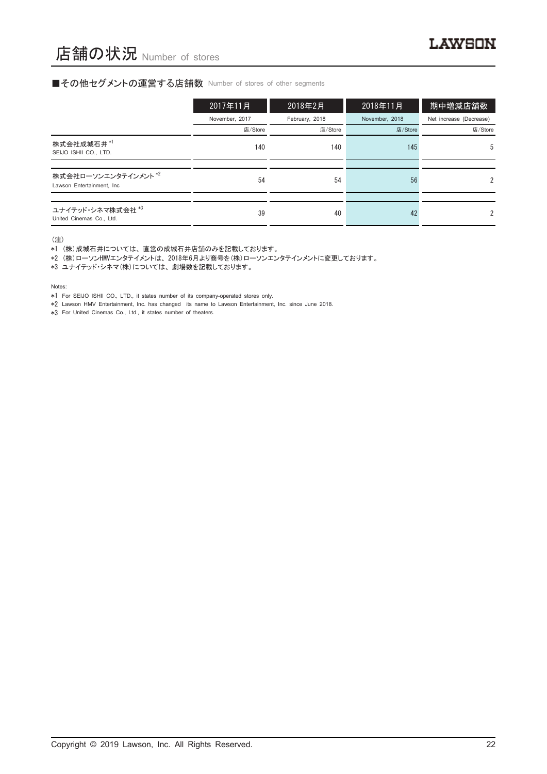#### ■その他セグメントの運営する店舗数 Number of stores of other segments

|                                                   | 2017年11月       | 2018年2月        | 2018年11月       | 期中増減店舗数                 |
|---------------------------------------------------|----------------|----------------|----------------|-------------------------|
|                                                   | November, 2017 | February, 2018 | November, 2018 | Net increase (Decrease) |
|                                                   | 店/Store        | 店/Store        | 店/Store        | 店/Store                 |
| 株式会社成城石井*1<br>SEIJO ISHII CO., LTD.               | 140            | 140            | 145            | 5                       |
|                                                   |                |                |                |                         |
| 株式会社ローソンエンタテインメント*2<br>Lawson Entertainment, Inc. | 54             | 54             | 56             | $\mathfrak{p}$          |
|                                                   |                |                |                |                         |
| ユナイテッド・シネマ株式会社 *3<br>United Cinemas Co., Ltd.     | 39             | 40             | 42             | 2                       |

(注)

\*1 (株)成城石井については、直営の成城石井店舗のみを記載しております。

\*2 (株)ローソンHMVエンタテイメントは、2018年6月より商号を(株)ローソンエンタテインメントに変更しております。

\*3 ユナイテッド・シネマ(株)については、劇場数を記載しております。

Notes:

\*1 For SEIJO ISHII CO., LTD., it states number of its company-operated stores only.

\*2 Lawson HMV Entertainment, Inc. has changed its name to Lawson Entertainment, Inc. since June 2018.

\*3 For United Cinemas Co., Ltd., it states number of theaters.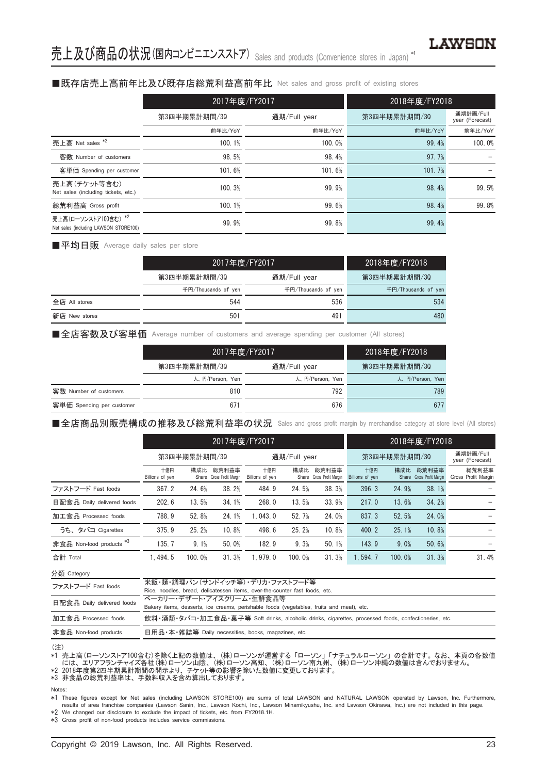## ■既存店売上高前年比及び既存店総荒利益高前年比 Net sales and gross profit of existing stores

|                                                               | 2017年度/FY2017 |              | 2018年度/FY2018 |                              |
|---------------------------------------------------------------|---------------|--------------|---------------|------------------------------|
|                                                               | 第3四半期累計期間/30  | 通期/Full year | 第3四半期累計期間/30  | 通期計画/Full<br>year (Forecast) |
|                                                               | 前年比/YoY       | 前年比/YoY      | 前年比/YoY       | 前年比/YoY                      |
| 売上高 Net sales *2                                              | 100.1%        | 100.0%       | 99.4%         | 100.0%                       |
| 客数 Number of customers                                        | 98.5%         | 98.4%        | 97.7%         |                              |
| 客単価 Spending per customer                                     | 101.6%        | 101.6%       | 101.7%        |                              |
| 売上高(チケット等含む)<br>Net sales (including tickets, etc.)           | 100.3%        | 99.9%        | 98.4%         | 99.5%                        |
| 総荒利益高 Gross profit                                            | 100.1%        | 99.6%        | 98.4%         | 99.8%                        |
| 売上高(ローソンストア100含む) *2<br>Net sales (including LAWSON STORE100) | 99.9%         | 99.8%        | 99.4%         |                              |

#### ■平均日販 Average daily sales per store

|               | 2017年度/FY2017       |                     | 2018年度/FY2018'      |  |
|---------------|---------------------|---------------------|---------------------|--|
|               | 第3四半期累計期間/30        | 通期/Full year        | 第3四半期累計期間/30        |  |
|               | 千円/Thousands of ven | 千円/Thousands of ven | 千円/Thousands of yen |  |
| 全店 All stores | 544                 | 536                 | 534                 |  |
| 新店 New stores | 501                 | 491                 | 480                 |  |

■全店客数及び客単価 Average number of customers and average spending per customer (All stores)

|                           | 2017年度/FY2017   |                 | 2018年度/FY2018   |  |
|---------------------------|-----------------|-----------------|-----------------|--|
|                           | 第3四半期累計期間/30    | 通期/Full year    | 第3四半期累計期間/30    |  |
|                           | 人、円/Person, Yen | 人、円/Person, Yen | 人、円/Person, Yen |  |
| 客数 Number of customers    | 810             | 792             | 789             |  |
| 客単価 Spending per customer | 671             | 676             | 677             |  |

■全店商品別販売構成の推移及び総荒利益率の状況 Sales and gross profit margin by merchandise category at store level (All stores)

|                                     |                        | 2017年度/FY2017 |                                    |                        |              |                                    |                        |              | 2018年度/FY2018                      |                              |
|-------------------------------------|------------------------|---------------|------------------------------------|------------------------|--------------|------------------------------------|------------------------|--------------|------------------------------------|------------------------------|
|                                     |                        | 第3四半期累計期間/30  |                                    |                        | 通期/Full year |                                    |                        | 第3四半期累計期間/30 |                                    |                              |
|                                     | 十億円<br>Billions of yen | 構成比           | 総荒利益率<br>Share Gross Profit Margin | 十億円<br>Billions of yen | 構成比          | 総荒利益率<br>Share Gross Profit Margin | 十億円<br>Billions of yen | 構成比          | 総荒利益率<br>Share Gross Profit Margin | 総荒利益率<br>Gross Profit Margin |
| ファストフード Fast foods                  | 367.2                  | 24.6%         | 38.2%                              | 484.9                  | 24.5%        | 38.3%                              | 396.3                  | 24.9%        | 38.1%                              |                              |
| 日配食品 Daily delivered foods          | 202.6                  | 13.5%         | 34.1%                              | 268.0                  | 13.5%        | 33.9%                              | 217.0                  | 13.6%        | 34.2%                              |                              |
| 加工食品 Processed foods                | 788.9                  | 52.8%         | 24.1%                              | 1.043.0                | 52.7%        | 24.0%                              | 837.3                  | 52.5%        | 24.0%                              |                              |
| うち、タバコ Cigarettes                   | 375.9                  | 25.2%         | 10.8%                              | 498.6                  | 25.2%        | 10.8%                              | 400.2                  | 25.1%        | 10.8%                              |                              |
| 非食品 Non-food products <sup>*3</sup> | 135.7                  | 9.1%          | 50.0%                              | 182.9                  | 9.3%         | 50.1%                              | 143.9                  | 9.0%         | 50.6%                              |                              |
| 合計 Total                            | 1.494.5                | 100.0%        | 31.3%                              | 1.979.0                | 100.0%       | 31.3%                              | 1.594.7                | 100.0%       | 31.3%                              | 31.4%                        |

分類 Category

| ファストフード Fast foods         | 米飯・麺・調理パン(サンドイッチ等) デリカ・ファストフード等<br>Rice, noodles, bread, delicatessen items, over-the-counter fast foods, etc.       |
|----------------------------|----------------------------------------------------------------------------------------------------------------------|
| 日配食品 Daily delivered foods | ベーカリー・デザート・アイスクリーム・牛鮮食品等<br>Bakery items, desserts, ice creams, perishable foods (vegetables, fruits and meat), etc. |
| 加工食品 Processed foods       | 飲料・酒類・タバコ・加工食品・菓子等 Soft drinks, alcoholic drinks, cigarettes, processed foods, confectioneries, etc.                 |
| 非食品 Non-food products      | 日用品 • 本 • 雑誌等 Daily necessities, books, magazines, etc.                                                              |
|                            |                                                                                                                      |

(注)

\*1 売上高(ローソンストア100含む)を除く上記の数値は、(株)ローソンが運営する「ローソン」「ナチュラルローソン」の合計です。なお、本頁の各数値 には、エリアフランチャイズ各社(株)ローソン山陰、(株)ローソン高知、(株)ローソン南九州、(株)ローソン沖縄の数値は含んでおりません。 \*2 2018年度第2四半期累計期間の開示より、チケット等の影響を除いた数値に変更しております。

Notes:

\*1 These figures except for Net sales (including LAWSON STORE100) are sums of total LAWSON and NATURAL LAWSON operated by Lawson, Inc. Furthermore, results of area franchise companies (Lawson Sanin, Inc., Lawson Kochi, Inc., Lawson Minamikyushu, Inc. and Lawson Okinawa, Inc.) are not included in this page. \*2 We changed our disclosure to exclude the impact of tickets, etc. from FY2018.1H.

\*3 Gross profit of non-food products includes service commissions.

<sup>-</sup> ニュ・・・・・<br>\*3 非食品の総荒利益率は、手数料収入を含め算出しております。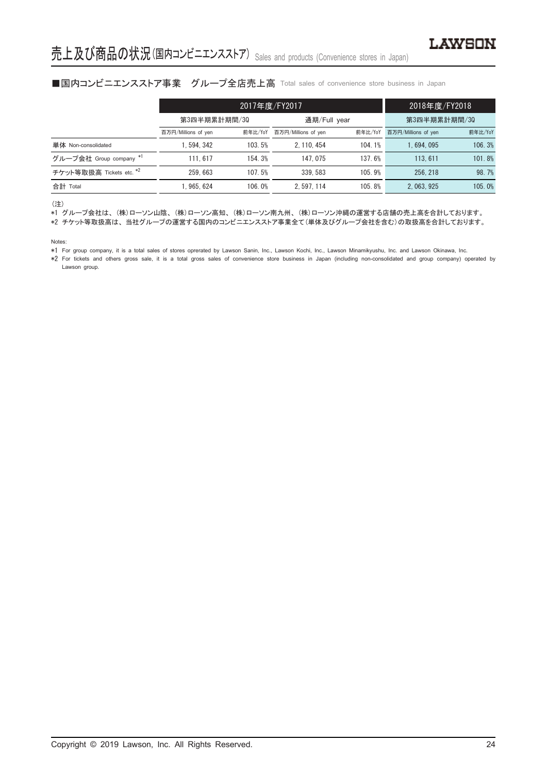## ■国内コンビニエンスストア事業 グループ全店売上高 Total sales of convenience store business in Japan

|                          |                     | 2017年度/FY2017 | 2018年度/FY2018       |         |                     |         |
|--------------------------|---------------------|---------------|---------------------|---------|---------------------|---------|
|                          | 第3四半期累計期間/30        |               | 通期/Full year        |         | 第3四半期累計期間/30        |         |
|                          | 百万円/Millions of yen | 前年比/YoY       | 百万円/Millions of yen | 前年比/YoY | 百万円/Millions of yen | 前年比/YoY |
| 単体 Non-consolidated      | . 594. 342          | 103.5%        | 2.110.454           | 104.1%  | 1.694.095           | 106.3%  |
| グループ会社 Group company *1  | 111.617             | 154.3%        | 147.075             | 137.6%  | 113.611             | 101.8%  |
| チケット等取扱高 Tickets etc. *2 | 259.663             | 107.5%        | 339.583             | 105.9%  | 256.218             | 98.7%   |
| 合計 Total                 | .965.624            | 106.0%        | 2.597.114           | 105.8%  | 2.063.925           | 105.0%  |

(注)

\*1 グループ会社は、(株)ローソン山陰、(株)ローソン高知、(株)ローソン南九州、(株)ローソン沖縄の運営する店舗の売上高を合計しております。

\*2 チケット等取扱高は、当社グループの運営する国内のコンビニエンスストア事業全て(単体及びグループ会社を含む)の取扱高を合計しております。

Notes:

\*1 For group company, it is a total sales of stores oprerated by Lawson Sanin, Inc., Lawson Kochi, Inc., Lawson Minamikyushu, Inc. and Lawson Okinawa, Inc.

\*2 For tickets and others gross sale, it is a total gross sales of convenience store business in Japan (including non-consolidated and group company) operated by Lawson group.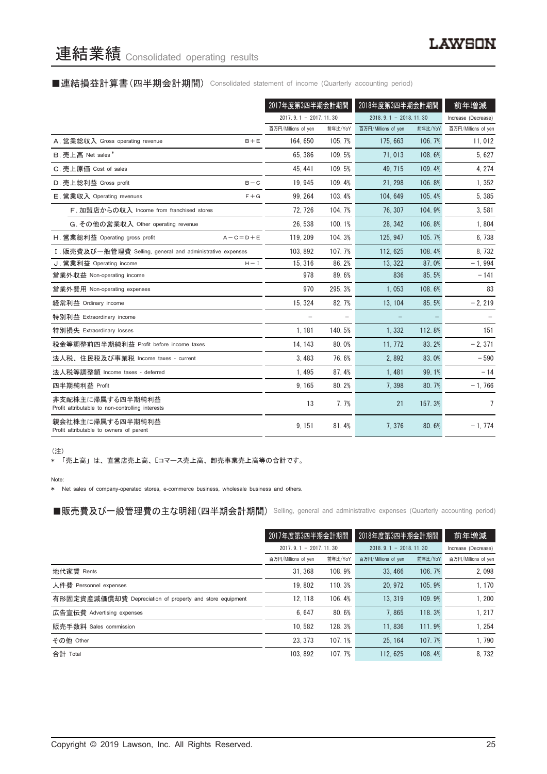#### ■連結損益計算書(四半期会計期間) Consolidated statement of income (Quarterly accounting period)

|                                                                      | 2017年度第3四半期会計期間       |         | 2018年度第3四半期会計期間         |         | 前年増減                |
|----------------------------------------------------------------------|-----------------------|---------|-------------------------|---------|---------------------|
|                                                                      | 2017.9.1 - 2017.11.30 |         | $2018.9.1 - 2018.11.30$ |         | Increase (Decrease) |
|                                                                      | 百万円/Millions of yen   | 前年比/YoY | 百万円/Millions of yen     | 前年比/YoY | 百万円/Millions of yen |
| A. 営業総収入 Gross operating revenue<br>$B + E$                          | 164, 650              | 105.7%  | 175, 663                | 106.7%  | 11,012              |
| B. 売上高 Net sales*                                                    | 65.386                | 109.5%  | 71.013                  | 108.6%  | 5,627               |
| C. 売上原価 Cost of sales                                                | 45.441                | 109.5%  | 49.715                  | 109.4%  | 4, 274              |
| D. 売上総利益 Gross profit<br>$B - C$                                     | 19.945                | 109.4%  | 21.298                  | 106.8%  | 1,352               |
| $F + G$<br>E. 営業収入 Operating revenues                                | 99.264                | 103.4%  | 104.649                 | 105.4%  | 5.385               |
| F. 加盟店からの収入 Income from franchised stores                            | 72, 726               | 104.7%  | 76, 307                 | 104.9%  | 3,581               |
| G. その他の営業収入 Other operating revenue                                  | 26.538                | 100.1%  | 28.342                  | 106.8%  | 1,804               |
| H. 営業総利益 Operating gross profit<br>$A - C = D + E$                   | 119, 209              | 104.3%  | 125, 947                | 105.7%  | 6,738               |
| I. 販売費及び一般管理費 Selling, general and administrative expenses           | 103.892               | 107.7%  | 112.625                 | 108.4%  | 8.732               |
| J. 営業利益 Operating income<br>$H - I$                                  | 15.316                | 86.2%   | 13.322                  | 87.0%   | $-1.994$            |
| 営業外収益 Non-operating income                                           | 978                   | 89.6%   | 836                     | 85.5%   | $-141$              |
| 営業外費用 Non-operating expenses                                         | 970                   | 295.3%  | 1,053                   | 108.6%  | 83                  |
| 経常利益 Ordinary income                                                 | 15, 324               | 82.7%   | 13, 104                 | 85.5%   | $-2, 219$           |
| 特別利益 Extraordinary income                                            |                       |         |                         |         |                     |
| 特別損失 Extraordinary losses                                            | 1,181                 | 140.5%  | 1,332                   | 112.8%  | 151                 |
| 税金等調整前四半期純利益 Profit before income taxes                              | 14, 143               | 80.0%   | 11.772                  | 83.2%   | $-2,371$            |
| 法人税、住民税及び事業税 Income taxes - current                                  | 3.483                 | 76.6%   | 2.892                   | 83.0%   | $-590$              |
| 法人税等調整額 Income taxes - deferred                                      | 1.495                 | 87.4%   | 1.481                   | 99.1%   | $-14$               |
| 四半期純利益 Profit                                                        | 9,165                 | 80.2%   | 7.398                   | 80.7%   | $-1,766$            |
| 非支配株主に帰属する四半期純利益<br>Profit attributable to non-controlling interests | 13                    | 7.7%    | 21                      | 157.3%  | 7                   |
| 親会社株主に帰属する四半期純利益<br>Profit attributable to owners of parent          | 9, 151                | 81.4%   | 7,376                   | 80.6%   | $-1,774$            |

(注)

\* 「売上高」は、直営店売上高、Eコマース売上高、卸売事業売上高等の合計です。

Note:

\* Net sales of company-operated stores, e-commerce business, wholesale business and others.

■販売費及び一般管理費の主な明細 (四半期会計期間) Selling, general and administrative expenses (Quarterly accounting period)

|                                                          | 2017年度第3四半期会計期間<br>$2017, 9, 1 - 2017, 11, 30$ |         | 2018年度第3四半期会計期間<br>$2018, 9, 1 - 2018, 11, 30$ |         | 前年増減                |
|----------------------------------------------------------|------------------------------------------------|---------|------------------------------------------------|---------|---------------------|
|                                                          |                                                |         |                                                |         | Increase (Decrease) |
|                                                          | 百万円/Millions of yen                            | 前年比/YoY | 百万円/Millions of yen                            | 前年比/YoY | 百万円/Millions of yen |
| 地代家賃 Rents                                               | 31.368                                         | 108.9%  | 33.466                                         | 106.7%  | 2,098               |
| 人件費 Personnel expenses                                   | 19.802                                         | 110.3%  | 20.972                                         | 105.9%  | 1, 170              |
| 有形固定資産減価償却費 Depreciation of property and store equipment | 12.118                                         | 106.4%  | 13.319                                         | 109.9%  | 1.200               |
| 広告宣伝費 Advertising expenses                               | 6.647                                          | 80.6%   | 7.865                                          | 118.3%  | 1.217               |
| 販売手数料 Sales commission                                   | 10.582                                         | 128.3%  | 11.836                                         | 111.9%  | 1,254               |
| その他 Other                                                | 23.373                                         | 107.1%  | 25.164                                         | 107.7%  | 1.790               |
| 合計 Total                                                 | 103.892                                        | 107.7%  | 112.625                                        | 108.4%  | 8.732               |